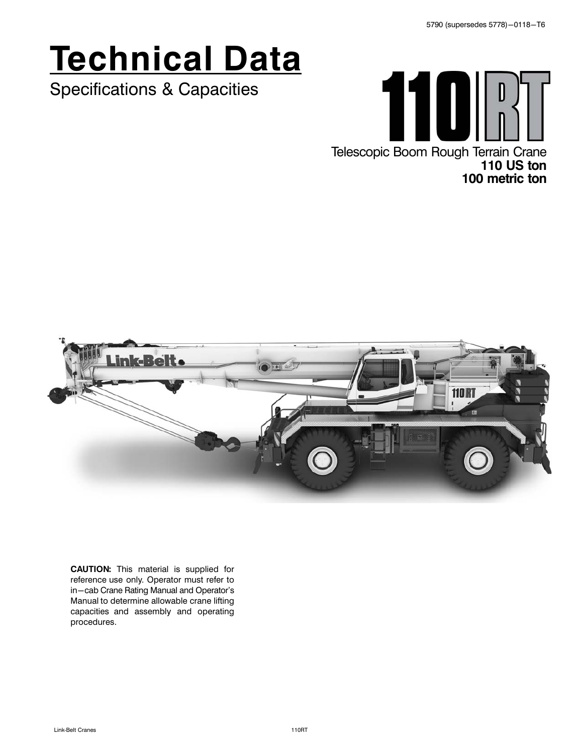# **Technical Data**

Specifications & Capacities





**CAUTION:** This material is supplied for reference use only. Operator must refer to in-cab Crane Rating Manual and Operator's Manual to determine allowable crane lifting capacities and assembly and operating procedures.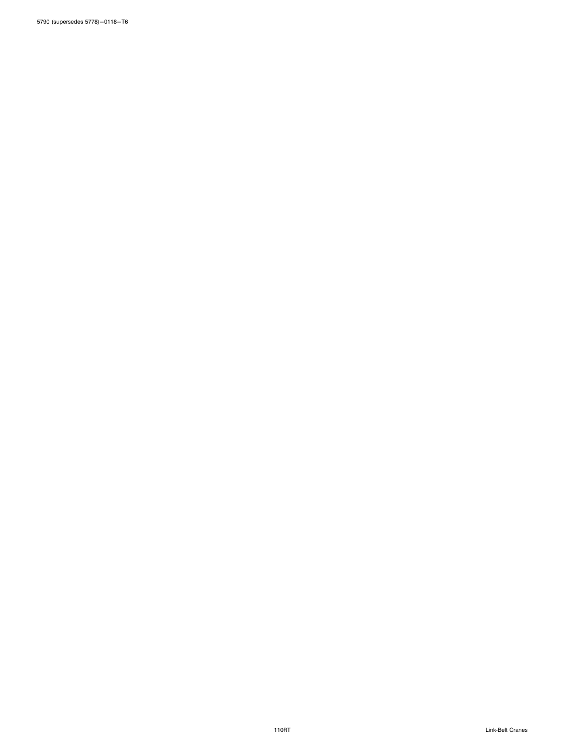5790 (supersedes 5778)-0118-T6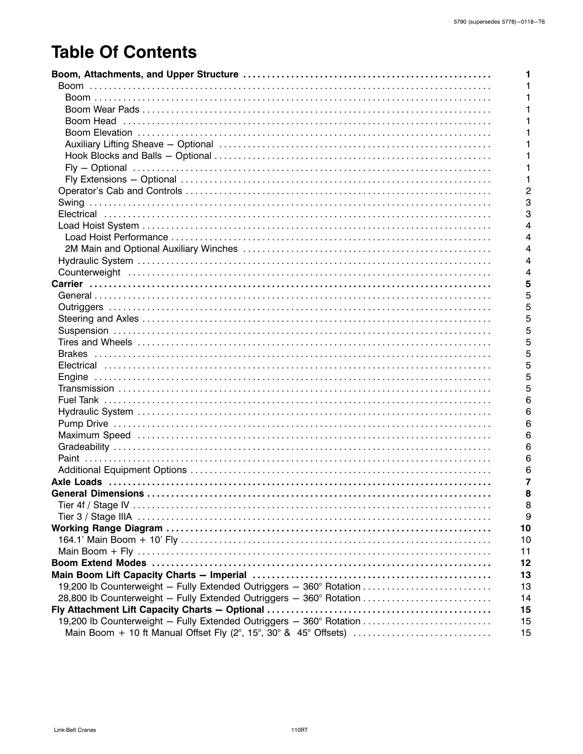### **Table Of Contents**

|                                                                     | 1              |
|---------------------------------------------------------------------|----------------|
|                                                                     | 1              |
|                                                                     | 1              |
|                                                                     | $\overline{2}$ |
|                                                                     | 3              |
|                                                                     | 3              |
|                                                                     | 4              |
|                                                                     | 4              |
|                                                                     | 4              |
|                                                                     | 4              |
|                                                                     | 4              |
|                                                                     | 5              |
|                                                                     | 5              |
|                                                                     | 5              |
|                                                                     |                |
|                                                                     | 5              |
|                                                                     | 5              |
|                                                                     | 5              |
|                                                                     | 5              |
|                                                                     | 5              |
|                                                                     | 5              |
|                                                                     | 5              |
|                                                                     | 6              |
|                                                                     | 6              |
|                                                                     | 6              |
|                                                                     | 6              |
|                                                                     | 6              |
|                                                                     | 6              |
|                                                                     | 6              |
|                                                                     | 7              |
|                                                                     | 8              |
|                                                                     | 8              |
|                                                                     | 9              |
|                                                                     | 10             |
|                                                                     | 10             |
|                                                                     | 11             |
|                                                                     | 12             |
|                                                                     | 13             |
| 19,200 lb Counterweight - Fully Extended Outriggers - 360° Rotation | 13             |
| 28,800 lb Counterweight - Fully Extended Outriggers - 360° Rotation | 14             |
|                                                                     | 15             |
| 19,200 lb Counterweight - Fully Extended Outriggers - 360° Rotation | 15             |
| Main Boom + 10 ft Manual Offset Fly (2°, 15°, 30° & 45° Offsets)    | 15             |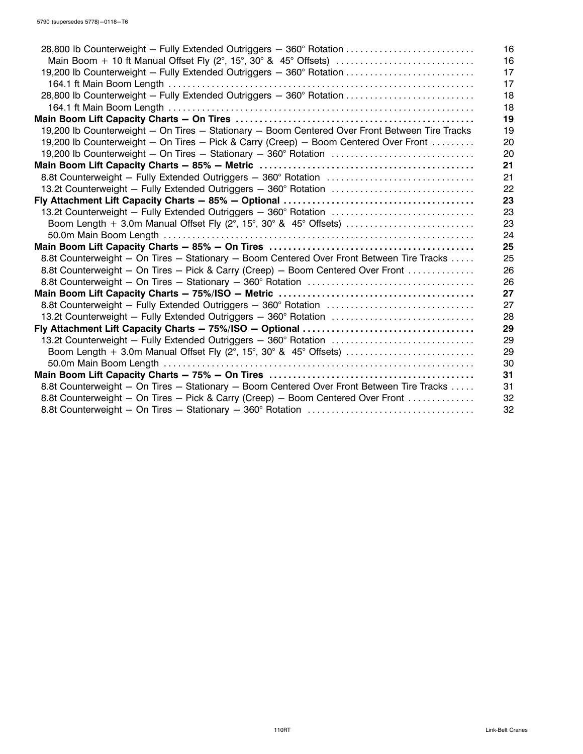| 28,800 lb Counterweight - Fully Extended Outriggers - 360° Rotation                            | 16 |
|------------------------------------------------------------------------------------------------|----|
| Main Boom + 10 ft Manual Offset Fly (2°, 15°, 30° & 45° Offsets)                               | 16 |
| 19,200 lb Counterweight - Fully Extended Outriggers - 360° Rotation                            | 17 |
|                                                                                                | 17 |
| 28,800 lb Counterweight - Fully Extended Outriggers - 360° Rotation                            | 18 |
|                                                                                                | 18 |
|                                                                                                | 19 |
| 19,200 lb Counterweight - On Tires - Stationary - Boom Centered Over Front Between Tire Tracks | 19 |
| 19,200 lb Counterweight - On Tires - Pick & Carry (Creep) - Boom Centered Over Front           | 20 |
|                                                                                                | 20 |
|                                                                                                | 21 |
|                                                                                                | 21 |
| 13.2t Counterweight - Fully Extended Outriggers - 360° Rotation                                | 22 |
|                                                                                                | 23 |
| 13.2t Counterweight - Fully Extended Outriggers - 360° Rotation                                | 23 |
| Boom Length + 3.0m Manual Offset Fly (2°, 15°, 30° & 45° Offsets)                              | 23 |
|                                                                                                | 24 |
|                                                                                                | 25 |
| 8.8t Counterweight - On Tires - Stationary - Boom Centered Over Front Between Tire Tracks      | 25 |
| 8.8t Counterweight - On Tires - Pick & Carry (Creep) - Boom Centered Over Front                | 26 |
|                                                                                                | 26 |
|                                                                                                | 27 |
|                                                                                                | 27 |
| 13.2t Counterweight - Fully Extended Outriggers - 360° Rotation                                | 28 |
|                                                                                                | 29 |
|                                                                                                | 29 |
|                                                                                                | 29 |
|                                                                                                | 30 |
|                                                                                                | 31 |
| 8.8t Counterweight - On Tires - Stationary - Boom Centered Over Front Between Tire Tracks      | 31 |
| 8.8t Counterweight - On Tires - Pick & Carry (Creep) - Boom Centered Over Front                | 32 |
|                                                                                                | 32 |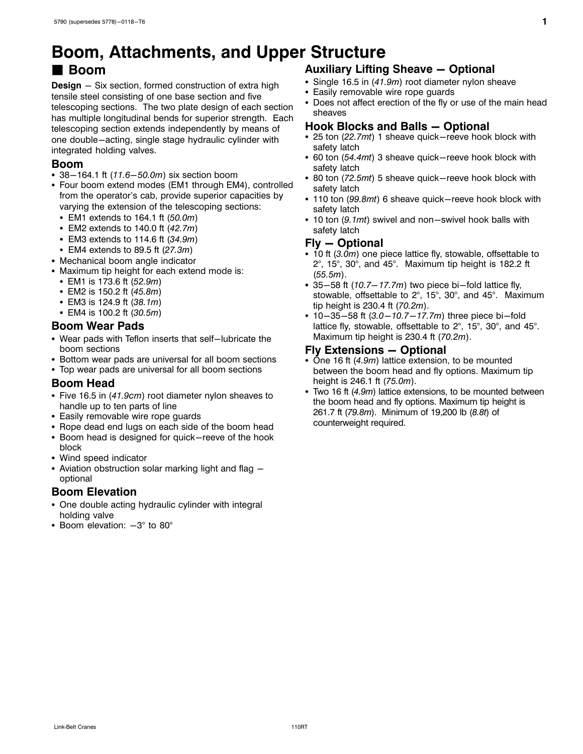# <span id="page-4-0"></span>**Boom, Attachments, and Upper Structure**

### - **Boom**

**Design** - Six section, formed construction of extra high tensile steel consisting of one base section and five telescoping sections. The two plate design of each section has multiple longitudinal bends for superior strength. Each telescoping section extends independently by means of one double-acting, single stage hydraulic cylinder with integrated holding valves.

#### **Boom**

- 38–164.1 ft (*11.6–50.0m*) six section boom<br>• Four boom extend modes (FM1 through FM
- Four boom extend modes (EM1 through EM4), controlled from the operator's cab, provide superior capacities by varying the extension of the telescoping sections:
	- EM1 extends to 164.1 ft (*50.0m*)
	- EM2 extends to 140.0 ft (*42.7m*)
	- EM3 extends to 114.6 ft (*34.9m*)
- EM4 extends to 89.5 ft (*27.3m*)
- Mechanical boom angle indicator
- Maximum tip height for each extend mode is:
	- EM1 is 173.6 ft (*52.9m*)
	- EM2 is 150.2 ft (*45.8m*)
	- EM3 is 124.9 ft (*38.1m*)
	- EM4 is 100.2 ft (*30.5m*)

#### **Boom Wear Pads**

- Wear pads with Teflon inserts that self-lubricate the boom sections
- Bottom wear pads are universal for all boom sections
- Top wear pads are universal for all boom sections

#### **Boom Head**

- Five 16.5 in (*41.9cm*) root diameter nylon sheaves to handle up to ten parts of line
- Easily removable wire rope guards
- Rope dead end lugs on each side of the boom head
- Boom head is designed for quick-reeve of the hook block
- Wind speed indicator
- Aviation obstruction solar marking light and flag optional

#### **Boom Elevation**

- One double acting hydraulic cylinder with integral holding valve
- Boom elevation: -3° to 80°

#### **Auxiliary Lifting Sheave - Optional**

- Single 16.5 in (41.9*m*) root diameter nylon sheave<br>• Easily removable wire rone quards
- Easily removable wire rope guards
- Does not affect erection of the fly or use of the main head sheaves

#### **Hook Blocks and Balls - Optional**

- 25 ton (*22.7mt*) 1 sheave quick-reeve hook block with safety latch
- 60 ton (54.4mt) 3 sheave quick-reeve hook block with<br>safety latch safety latch
- - 80 ton (*72.5mt*) 5 sheave quick-reeve hook block with safety latch
- 110 ton (99.8*mt*) 6 sheave quick-reeve hook block with safety latch safety latch
- 10 ton (9.1mt) swivel and non-swivel hook balls with safety latch safety latch

#### **Fly - Optional**

- 10 ft  $(3.0m)$  one piece lattice fly, stowable, offsettable to  $2^\circ$  15° 30° and 45° Maximum tip height is 182.2 ft 2°, 15°, 30°, and 45°. Maximum tip height is 182.2 ft (*55.5m*).
- $35-58$  ft (10.7-17.7m) two piece bi-fold lattice fly,<br>stowable, offsettable to 2° 15° 30° and 45°. Max stowable, offsettable to 2°, 15°, 30°, and 45°. Maximum tip height is 230.4 ft (*70.2m*).
- $10-35-58$  ft  $(3.0-10.7-17.7m)$  three piece bi-fold<br>lattice fly, stowable, offsettable to 2° 15° 30° and 6 lattice fly, stowable, offsettable to 2°, 15°, 30°, and 45°. Maximum tip height is 230.4 ft (*70.2m*).

#### **Fly Extensions - Optional**

- One 16 ft (*4.9m*) lattice extension, to be mounted<br>hetween the boom head and fly options. Maximu between the boom head and fly options. Maximum tip height is 246.1 ft (*75.0m*).
- - Two 16 ft (*4.9m*) lattice extensions, to be mounted between the boom head and fly options. Maximum tip height is 261.7 ft (*79.8m*). Minimum of 19,200 lb (*8.8t*) of counterweight required.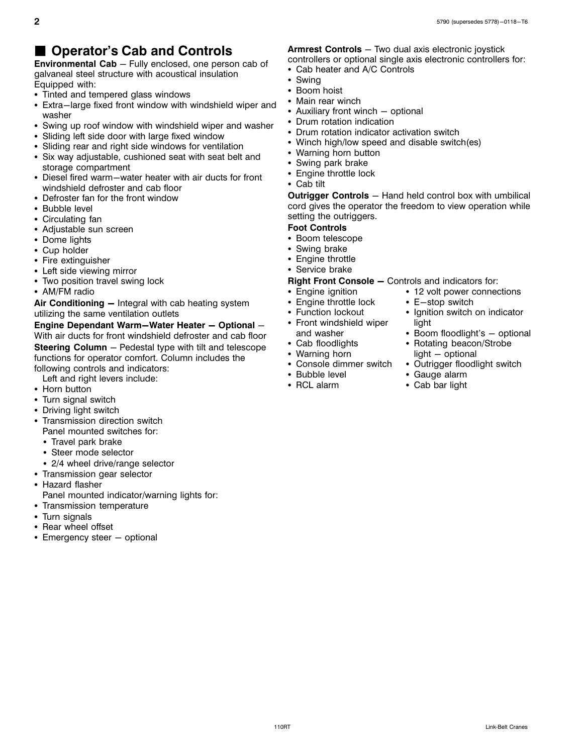### <span id="page-5-0"></span>■ Operator's Cab and Controls

**Environmental Cab** - Fully enclosed, one person cab of galvaneal steel structure with acoustical insulation Equipped with:

- Tinted and tempered glass windows
- Extra-large fixed front window with windshield wiper and washer
- Swing up roof window with windshield wiper and washer
- Sliding left side door with large fixed window
- Sliding rear and right side windows for ventilation
- Six way adjustable, cushioned seat with seat belt and storage compartment
- Diesel fired warm-water heater with air ducts for front windshield defroster and cab floor
- Defroster fan for the front window
- Bubble level
- Circulating fan
- Adjustable sun screen
- Dome lights
- Cup holder
- Fire extinguisher
- Left side viewing mirror
- Two position travel swing lock
- AM/FM radio

Air Conditioning - Integral with cab heating system utilizing the same ventilation outlets

**Engine Dependant Warm-Water Heater - Optional -**With air ducts for front windshield defroster and cab floor **Steering Column** - Pedestal type with tilt and telescope functions for operator comfort. Column includes the following controls and indicators:

Left and right levers include:

- Horn button
- Turn signal switch
- Driving light switch
- Transmission direction switch
- Panel mounted switches for:
- Travel park brake
- Steer mode selector
- 2/4 wheel drive/range selector
- Transmission gear selector
- Hazard flasher
- Panel mounted indicator/warning lights for:
- Transmission temperature
- Turn signals
- Rear wheel offset
- Emergency steer optional

#### **Armrest Controls** - Two dual axis electronic joystick

- controllers or optional single axis electronic controllers for:
- Cab heater and A/C Controls
- Swing
- Boom hoist
- Main rear winch
- Auxiliary front winch optional
- Drum rotation indication
- Drum rotation indicator activation switch
- Winch high/low speed and disable switch(es)
- Warning horn button
- Swing park brake
- Engine throttle lock
- Cab tilt

**Outrigger Controls** - Hand held control box with umbilical cord gives the operator the freedom to view operation while setting the outriggers.

#### **Foot Controls**

- Boom telescope
- Swing brake
- Engine throttle
- Service brake
- **Right Front Console Controls and indicators for:**
- Engine ignition •
- Engine throttle lock •
- Function lockout •
- Front windshield wiper light and washer
- Cab floodlights •
- 
- Console dimmer switch •
- Bubble level •
- RCL alarm •
- 12 volt power connections • E-stop switch
- Ignition switch on indicator
- $\bullet$  Boom floodlight's  $-$  optional
- Rotating beacon/Strobe • Warning horn light - optional
	- Outrigger floodlight switch
	- Gauge alarm
	- Cab bar light
- 
-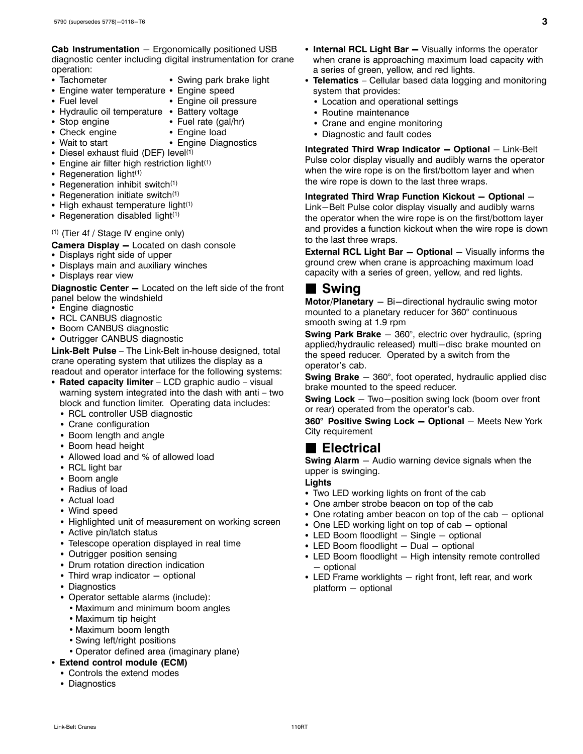<span id="page-6-0"></span>**Cab Instrumentation** - Ergonomically positioned USB diagnostic center including digital instrumentation for crane operation:

- Tachometer •
- Swing park brake light • Engine water temperature • Engine speed
- 
- Fuel level • • Engine oil pressure
- Hydraulic oil temperature · Battery voltage
- Stop engine \*\*\*\*\*\*\*\*\*\*\*\*\*\*\*\*\*\*\* • Fuel rate (gal/hr)
- Check engine
	- Engine load
- Wait to start
	- Engine Diagnostics
- Diesel exhaust fluid (DEF) level<sup>(1)</sup> • Engine air filter high restriction light<sup>(1)</sup>
- Regeneration light(1)
- Regeneration inhibit switch<sup>(1)</sup>
- Regeneration initiate switch<sup>(1)</sup>
- High exhaust temperature light<sup>(1)</sup>
- Regeneration disabled light<sup>(1)</sup>

(1) (Tier 4f / Stage IV engine only)

**Camera Display - Located on dash console** 

- Displays right side of upper
- Displays main and auxiliary winches
- Displays rear view

**Diagnostic Center -** Located on the left side of the front panel below the windshield

- Engine diagnostic
- RCL CANBUS diagnostic
- Boom CANBUS diagnostic
- Outrigger CANBUS diagnostic

**Link-Belt Pulse** – The Link-Belt in-house designed, total crane operating system that utilizes the display as a readout and operator interface for the following systems:

- **Rated capacity limiter** LCD graphic audio visual warning system integrated into the dash with anti – two block and function limiter. Operating data includes:
	- RCL controller USB diagnostic
	- Crane configuration
	- Boom length and angle
	- Boom head height
	- Allowed load and % of allowed load
	- RCL light bar
	- Boom angle
	- Radius of load
	- Actual load
	- Wind speed
	- Highlighted unit of measurement on working screen
	- Active pin/latch status
	- Telescope operation displayed in real time
	- Outrigger position sensing
	- Drum rotation direction indication
	- Third wrap indicator optional
	- Diagnostics
	- Operator settable alarms (include):
	- Maximum and minimum boom angles
	- Maximum tip height
	- Maximum boom length
	- Swing left/right positions
	- Operator defined area (imaginary plane)
- **Extend control module (ECM)**
	- Controls the extend modes
	- Diagnostics
- Internal RCL Light Bar Visually informs the operator when crane is approaching maximum load capacity with a series of green, yellow, and red lights.
- - **Telematics** – Cellular based data logging and monitoring system that provides:
	- Location and operational settings
	- Routine maintenance
	- Crane and engine monitoring
	- Diagnostic and fault codes

**Integrated Third Wrap Indicator - Optional** - Link-Belt Pulse color display visually and audibly warns the operator when the wire rope is on the first/bottom layer and when the wire rope is down to the last three wraps.

#### **Integrated Third Wrap Function Kickout - Optional -**

Link-Belt Pulse color display visually and audibly warns the operator when the wire rope is on the first/bottom layer and provides a function kickout when the wire rope is down to the last three wraps.

**External RCL Light Bar - Optional** - Visually informs the ground crew when crane is approaching maximum load capacity with a series of green, yellow, and red lights.

### $\blacksquare$  Swing

**Motor/Planetary** - Bi-directional hydraulic swing motor mounted to a planetary reducer for 360° continuous smooth swing at 1.9 rpm

**Swing Park Brake** - 360°, electric over hydraulic, (spring applied/hydraulic released) multi-disc brake mounted on the speed reducer. Operated by a switch from the operator's cab.

**Swing Brake** – 360°, foot operated, hydraulic applied disc brake mounted to the speed reducer.

**Swing Lock** – Two-position swing lock (boom over front or rear) operated from the operator's cab.

**360° Positive Swing Lock - Optional** - Meets New York City requirement

#### - **Electrical**

**Swing Alarm** - Audio warning device signals when the upper is swinging.

#### **Lights**

- Two LED working lights on front of the cab
- One amber strobe beacon on top of the cab
- One rotating amber beacon on top of the cab optional
- One LED working light on top of cab optional
- LED Boom floodlight Single optional
- LED Boom floodlight Dual optional
- LED Boom floodlight High intensity remote controlled - optional
- LED Frame worklights right front, left rear, and work  $platform - *obtional*$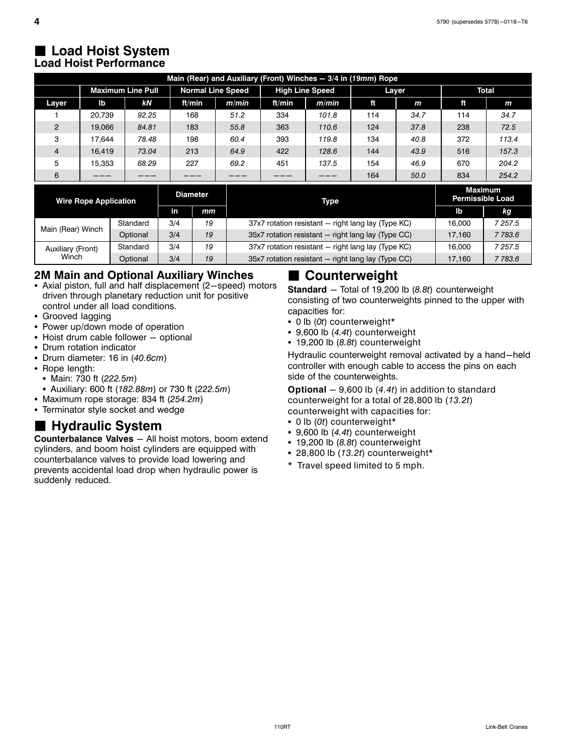#### <span id="page-7-0"></span>- **Load Hoist System Load Hoist Performance**

|                              |        |                          |                 |                          |       |        | Main (Rear) and Auxiliary (Front) Winches $-3/4$ in (19mm) Rope |     |              |                      |              |
|------------------------------|--------|--------------------------|-----------------|--------------------------|-------|--------|-----------------------------------------------------------------|-----|--------------|----------------------|--------------|
|                              |        | <b>Maximum Line Pull</b> |                 | <b>Normal Line Speed</b> |       |        | <b>High Line Speed</b>                                          |     | Layer        |                      | <b>Total</b> |
| Layer                        | lb     | <b>kN</b>                |                 | ft/min                   | m/min | ft/min | m/min                                                           | ft  | $\mathbf{m}$ | ft                   | m            |
|                              | 20.739 | 92.25                    |                 | 168                      | 51.2  | 334    | 101.8                                                           | 114 | 34.7         | 114                  | 34.7         |
| $\overline{2}$               | 19.066 | 84.81                    |                 | 183                      | 55.8  | 363    | 110.6                                                           | 124 | 37.8         | 238                  | 72.5         |
| 3                            | 17.644 | 78.48                    |                 | 198                      | 60.4  | 393    | 119.8                                                           | 134 | 40.8         | 372                  | 113.4        |
| $\overline{4}$               | 16,419 | 73.04                    |                 | 213                      | 64.9  | 422    | 128.6                                                           | 144 | 43.9         | 516                  | 157.3        |
| 5                            | 15,353 | 68.29                    |                 | 227                      | 69.2  | 451    | 137.5                                                           | 154 | 46.9         | 670                  | 204.2        |
| 6                            |        |                          |                 |                          |       |        |                                                                 | 164 | 50.0         | 834                  | 254.2        |
| <b>Wire Rope Application</b> |        |                          | <b>Diameter</b> |                          |       |        | <b>Maximum</b><br><b>Permissible Load</b>                       |     |              |                      |              |
|                              |        |                          | in              | mm                       |       |        | <b>Type</b>                                                     |     |              | Ib                   | kg.          |
| Main (Rear) Winch            |        | Standard                 | 3/4             | 19                       |       |        | 37x7 rotation resistant – right lang lay (Type KC)              |     |              | 16,000               | 7 257.5      |
|                              |        | $\sim$ $\sim$ $\sim$     | $-1$            | $\sim$                   |       |        |                                                                 |     |              | $\cdot$ $ \cdot$ $-$ | -----        |

#### **2M Main and Optional Auxiliary Winches**

- Axial piston, full and half displacement (2-speed) motors driven through planetary reduction unit for positive control under all load conditions.
- Grooved lagging

Auxiliary (Front) **Winch** 

- Power up/down mode of operation
- Hoist drum cable follower optional
- Drum rotation indicator
- Drum diameter: 16 in (*40.6cm*)
- Rope length:
	- Main: 730 ft (*222.5m*)
- Auxiliary: 600 ft (*182.88m*) or 730 ft (*222.5m*)
- Maximum rope storage: 834 ft (*254.2m*)
- Terminator style socket and wedge

### $\blacksquare$  **Hydraulic System**

**Counterbalance Valves** - All hoist motors, boom extend cylinders, and boom hoist cylinders are equipped with counterbalance valves to provide load lowering and prevents accidental load drop when hydraulic power is suddenly reduced.

#### $\blacksquare$  Counterweight

Optional 3/4 *19* 35x7 rotation resistant - right lang lay (Type CC) 17,160 *7 783.6*

Standard 3/4 **19** 37x7 rotation resistant – right lang lay (Type KC) 16,000 7 257.5<br>Optional 3/4 19 35x7 rotation resistant – right lang lay (Type CC) 17,160 7 783.6 35x7 rotation resistant - right lang lay (Type CC)

> **Standard** - Total of 19,200 lb (8.8t) counterweight consisting of two counterweights pinned to the upper with capacities for:

- 0 lb (0t) counterweight\*
- 0 lb (*0t*) counterweight\* -
- 9,600 lb (*4.4t*) counterweight 19,200 lb (*8.8t*) counterweight

Hydraulic counterweight removal activated by a hand-held controller with enough cable to access the pins on each side of the counterweights.

**Optional** – 9,600 lb (4.4t) in addition to standard counterweight for a total of 28,800 lb (*13.2t*) counterweight with capacities for:

- 0 lb (*0t*) counterweight\*
- **•** 9,600 lb (4.4t) counterweight<br>• 19.200 lb (8.8t) counterweight
- 19,200 lb (*8.8t*) counterweight
- 28,800 lb (*13.2t*) counterweight\*
- \* Travel speed limited to 5 mph.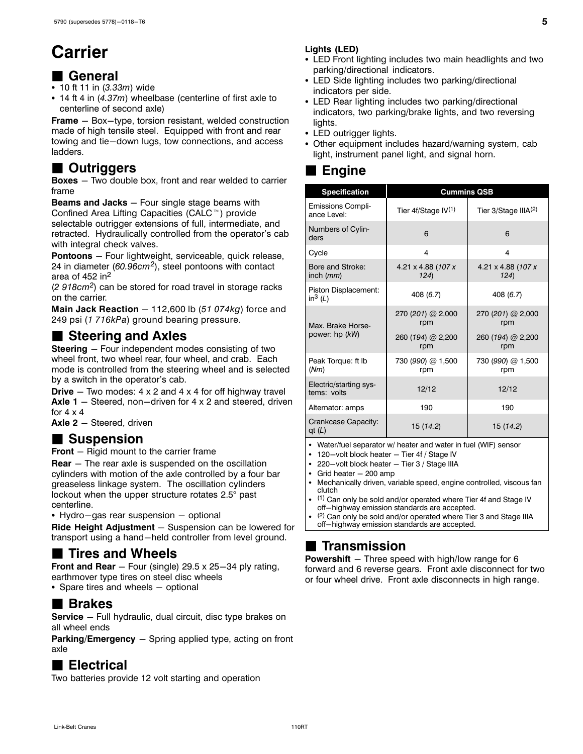# <span id="page-8-0"></span>**Carrier**

# General<br>• 10 ft 11 in (3.3)

10 ft 11 in (*3.33m*) wide

 $\cdot$  14 ft 4 in  $(4.37m)$  wheelbase (centerline of first axle to<br>centerline of second axle) centerline of second axle)

**Frame** - Box-type, torsion resistant, welded construction made of high tensile steel. Equipped with front and rear towing and tie-down lugs, tow connections, and access ladders.

### $\blacksquare$  Outriggers

**Boxes** – Two double box, front and rear welded to carrier frame

**Beams and Jacks** - Four single stage beams with Confined Area Lifting Capacities (CALC<sup>™</sup>) provide selectable outrigger extensions of full, intermediate, and retracted. Hydraulically controlled from the operator's cab with integral check valves.

**Pontoons** - Four lightweight, serviceable, quick release, 24 in diameter (*60.96cm2*), steel pontoons with contact area of 452 in<sup>2</sup>

(*2 918cm2*) can be stored for road travel in storage racks on the carrier.

**Main Jack Reaction** - 112,600 lb (51 074kg) force and 249 psi (*1 716kPa*) ground bearing pressure.

### **E** Steering and Axles

**Steering** – Four independent modes consisting of two wheel front, two wheel rear, four wheel, and crab. Each mode is controlled from the steering wheel and is selected by a switch in the operator's cab.

**Drive** – Two modes: 4 x 2 and 4 x 4 for off highway travel Axle 1 – Steered, non-driven for 4 x 2 and steered, driven for  $4 \times 4$ 

Axle 2 - Steered, driven

### $\blacksquare$  Suspension

**Front** – Rigid mount to the carrier frame

**Rear** – The rear axle is suspended on the oscillation cylinders with motion of the axle controlled by a four bar greaseless linkage system. The oscillation cylinders lockout when the upper structure rotates 2.5° past centerline.

• Hydro-gas rear suspension - optional

**Ride Height Adjustment** - Suspension can be lowered for transport using a hand-held controller from level ground.

### $\blacksquare$  **Tires and Wheels**

**Front and Rear** - Four (single) 29.5 x 25-34 ply rating, earthmover type tires on steel disc wheels

• Spare tires and wheels - optional

### - **Brakes**

**Service** - Full hydraulic, dual circuit, disc type brakes on all wheel ends

**Parking/Emergency** - Spring applied type, acting on front axle

### - **Electrical**

Two batteries provide 12 volt starting and operation

#### **Lights (LED)**

- LED Front lighting includes two main headlights and two parking/directional indicators.
- LED Side lighting includes two parking/directional indicators per side.
- LED Rear lighting includes two parking/directional indicators, two parking/brake lights, and two reversing lights.
- LED outrigger lights.
- Other equipment includes hazard/warning system, cab light, instrument panel light, and signal horn.

### **Engine**

| <b>Specification</b>                          | <b>Cummins QSB</b>         |                                  |
|-----------------------------------------------|----------------------------|----------------------------------|
| <b>Emissions Compli-</b><br>ance Level:       | Tier 4f/Stage $IV(1)$      | Tier 3/Stage IIIA <sup>(2)</sup> |
| Numbers of Cylin-<br>ders                     | 6                          | 6                                |
| Cycle                                         | 4                          | 4                                |
| Bore and Stroke:<br>inch $(mm)$               | 4.21 x 4.88 (107 x<br>124) | 4.21 x 4.88 (107 x<br>124)       |
| Piston Displacement:<br>in <sup>3</sup> $(L)$ | 408 (6.7)                  | 408 (6.7)                        |
| Max. Brake Horse-                             | 270 (201) @ 2,000<br>rpm   | 270 (201) @ 2,000<br>rpm         |
| power: hp (kW)                                | 260 (194) @ 2,200<br>rpm   | 260 (194) @ 2,200<br>rpm         |
| Peak Torque: ft Ib<br>(Mm)                    | 730 (990) @ 1,500<br>rpm   | 730 (990) @ 1,500<br>rpm         |
| Electric/starting sys-<br>tems: volts         | 12/12                      | 12/12                            |
| Alternator: amps                              | 190                        | 190                              |
| Crankcase Capacity:<br>qt $(L)$               | 15 (14.2)                  | 15 (14.2)                        |

- Water/fuel separator w/ heater and water in fuel (WIF) sensor

- 120-volt block heater Tier 4f / Stage IV
- 220-volt block heater Tier 3 / Stage IIIA
- Grid heater 200 amp
- Mechanically driven, variable speed, engine controlled, viscous fan clutch
- - (1) Can only be sold and/or operated where Tier 4f and Stage IV off-highway emission standards are accepted.

- (2) Can only be sold and/or operated where Tier 3 and Stage IIIA off-highway emission standards are accepted.

#### - **Transmission**

**Powershift** - Three speed with high/low range for 6 forward and 6 reverse gears. Front axle disconnect for two or four wheel drive. Front axle disconnects in high range.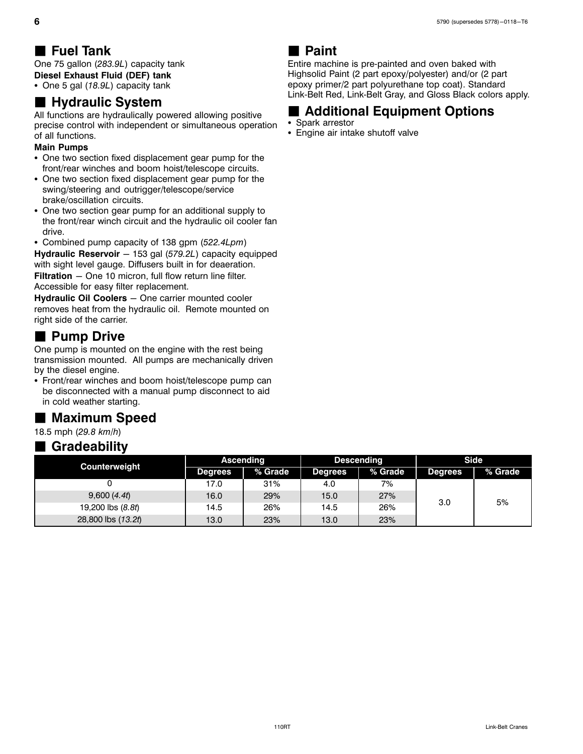#### <span id="page-9-0"></span>- **Fuel Tank**

One 75 gallon (*283.9L*) capacity tank

**Diesel Exhaust Fluid (DEF) tank**

• One 5 gal (18.9L) capacity tank

### $\blacksquare$  **Hydraulic System**

All functions are hydraulically powered allowing positive precise control with independent or simultaneous operation of all functions.

#### **Main Pumps**

- One two section fixed displacement gear pump for the front/rear winches and boom hoist/telescope circuits.
- One two section fixed displacement gear pump for the swing/steering and outrigger/telescope/service brake/oscillation circuits.
- One two section gear pump for an additional supply to the front/rear winch circuit and the hydraulic oil cooler fan drive.
- Combined pump capacity of 138 gpm (*522.4Lpm*)

**Hydraulic Reservoir** - 153 gal (579.2L) capacity equipped with sight level gauge. Diffusers built in for deaeration. **Filtration** - One 10 micron, full flow return line filter. Accessible for easy filter replacement.

**Hydraulic Oil Coolers** - One carrier mounted cooler removes heat from the hydraulic oil. Remote mounted on right side of the carrier.

### **Pump Drive**

One pump is mounted on the engine with the rest being transmission mounted. All pumps are mechanically driven by the diesel engine.

- Front/rear winches and boom hoist/telescope pump can be disconnected with a manual pump disconnect to aid in cold weather starting.

### $\blacksquare$  **Maximum Speed**

18.5 mph (*29.8 km/h*)

### - **Gradeability**

|                    |                | <b>Ascending</b> |                | <b>Descending</b> | <b>Side</b>    |         |  |
|--------------------|----------------|------------------|----------------|-------------------|----------------|---------|--|
| Counterweight      | <b>Degrees</b> | % Grade          | <b>Degrees</b> | % Grade           | <b>Degrees</b> | % Grade |  |
|                    | 17.0           | 31%              | 4.0            | 7%                |                |         |  |
| 9,600(4.4t)        | 16.0           | 29%              | 15.0           | 27%               |                |         |  |
| 19,200 lbs (8.8t)  | 14.5           | 26%              | 14.5           | 26%               | 3.0            | 5%      |  |
| 28,800 lbs (13.2t) | 13.0           | 23%              | 13.0           | 23%               |                |         |  |

#### - **Paint**

Entire machine is pre-painted and oven baked with Highsolid Paint (2 part epoxy/polyester) and/or (2 part epoxy primer/2 part polyurethane top coat). Standard Link-Belt Red, Link-Belt Gray, and Gloss Black colors apply.

# **Example 2 Additional Equipment Options**

- Spark arrestor
- Engine air intake shutoff valve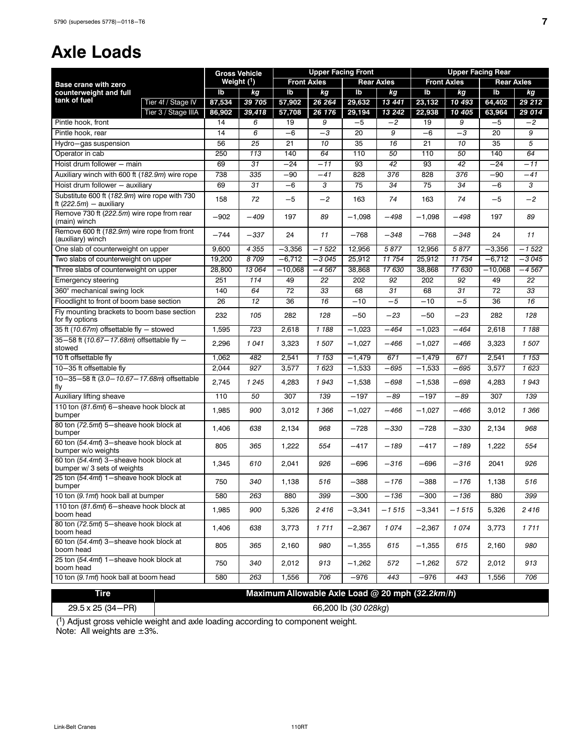### <span id="page-10-0"></span>**Axle Loads**

|                                                                            |                     | <b>Gross Vehicle</b> |                         |                    | <b>Upper Facing Front</b> |          |                   |                     | <b>Upper Facing Rear</b> |                   |         |
|----------------------------------------------------------------------------|---------------------|----------------------|-------------------------|--------------------|---------------------------|----------|-------------------|---------------------|--------------------------|-------------------|---------|
| <b>Base crane with zero</b>                                                |                     |                      | Weight ( <sup>1</sup> ) | <b>Front Axles</b> |                           |          | <b>Rear Axles</b> |                     | <b>Front Axles</b>       | <b>Rear Axles</b> |         |
| counterweight and full                                                     |                     | lb                   | kg                      | Ib                 | kq                        | lb       | kg                | lb                  | kg                       | lb                | kg      |
| tank of fuel                                                               | Tier 4f / Stage IV  | 87,534               | 39 705                  | 57,902             | 26 264                    | 29,632   | 13 441            | 23,132              | 10 493                   | 64,402            | 29 212  |
|                                                                            | Tier 3 / Stage IIIA | 86,902               | 39,418                  | 57,708             | 26 176                    | 29,194   | 13 24 2           | 22,938              | 10 405                   | 63,964            | 29 014  |
| Pintle hook, front                                                         |                     | 14                   | 6                       | 19                 | 9                         | -5       | $^{-2}$           | 19                  | 9                        | $-5$              | $-2$    |
| Pintle hook, rear                                                          |                     | 14                   | 6                       | $-6$               | $-3$                      | 20       | 9                 | -6                  | $-3$                     | 20                | 9       |
| Hydro-gas suspension                                                       |                     | 56                   | 25                      | 21                 | 10                        | 35       | 16                | 21                  | 10                       | 35                | 5       |
| Operator in cab                                                            |                     | 250                  | 113                     | 140                | 64                        | 110      | 50                | 110                 | 50                       | 140               | 64      |
| Hoist drum follower - main                                                 |                     | 69                   | 31                      | $-24$              | $-11$                     | 93       | 42                | 93                  | 42                       | $-24$             | $-11$   |
| Auxiliary winch with 600 ft (182.9m) wire rope                             |                     | 738                  | 335                     | $-90$              | $-41$                     | 828      | 376               | 828                 | 376                      | $-90$             | $-41$   |
| Hoist drum follower - auxiliary                                            | 69                  | 31                   | $-6$                    | 3                  | 75                        | 34       | 75                | 34                  | $-6$                     | 3                 |         |
| Substitute 600 ft (182.9m) wire rope with 730<br>ft $(222.5m)$ - auxiliary |                     | 158                  | 72                      | $-5$               | $^{-2}$                   | 163      | 74                | 163                 | 74                       | $-5$              | $-2$    |
| Remove 730 ft (222.5m) wire rope from rear<br>(main) winch                 |                     | $-902$               | $-409$                  | 197                | 89                        | $-1,098$ | -498              | $-1,098$            | -498                     | 197               | 89      |
| Remove 600 ft (182.9m) wire rope from front<br>(auxiliary) winch           |                     | $-744$               | $-337$                  | 24                 | 11                        | $-768$   | $-348$            | $-768$              | $-348$                   | 24                | 11      |
| One slab of counterweight on upper                                         |                     | 9,600                | 4 3 5 5                 | $-3,356$           | $-1522$                   | 12,956   | 5877              | 12,956              | 5877                     | $-3,356$          | $-1522$ |
| Two slabs of counterweight on upper                                        |                     | 19,200               | 8709                    | $-6,712$           | $-3045$                   | 25,912   | 11754             | 25,912              | 11 754                   | $-6,712$          | $-3045$ |
| Three slabs of counterweight on upper                                      |                     | 28,800               | 13 064                  | $-10.068$          | $-4567$                   | 38,868   | 17 630            | 38,868              | 17 630                   | $-10,068$         | $-4567$ |
| Emergency steering                                                         |                     | 251                  | 114                     | 49                 | 22                        | 202      | 92                | 202                 | 92                       | 49                | 22      |
| 360° mechanical swing lock                                                 |                     | 140                  | 64                      | 72                 | 33                        | 68       | 31                | 68                  | 31                       | 72                | 33      |
| Floodlight to front of boom base section                                   |                     | 26                   | 12                      | 36                 | 16                        | $-10$    | $-5$              | $-10$               | $-5$                     | 36                | 16      |
| Fly mounting brackets to boom base section<br>for fly options              |                     | 232                  | 105                     | 282                | 128                       | $-50$    | -23               | $-50$               | $-23$                    | 282               | 128     |
| 35 ft (10.67m) offsettable fly $-$ stowed                                  |                     | 1,595                | 723                     | 2,618              | 1 1 8 8                   | $-1,023$ | $-464$            | $-1,023$            | $-464$                   | 2,618             | 1188    |
| 35-58 ft (10.67-17.68m) offsettable fly -<br>stowed                        |                     | 2,296                | 1041                    | 3,323              | 1507                      | $-1,027$ | $-466$            | $-1,027$            | $-466$                   | 3,323             | 1507    |
| 10 ft offsettable fly                                                      |                     | 1,062                | 482                     | 2,541              | 1 1 5 3                   | $-1,479$ | 671               | $-1,479$            | 671                      | 2,541             | 1 1 5 3 |
| 10-35 ft offsettable fly                                                   |                     | 2,044                | 927                     | 3,577              | 1623                      | $-1,533$ | $-695$            | $-\overline{1,533}$ | $-695$                   | 3,577             | 1623    |
| 10-35-58 ft (3.0-10.67-17.68m) offsettable<br>fly                          |                     | 2,745                | 1 2 4 5                 | 4,283              | 1943                      | $-1,538$ | $-698$            | $-1,538$            | -698                     | 4,283             | 1943    |
| Auxiliary lifting sheave                                                   |                     | 110                  | 50                      | 307                | 139                       | $-197$   | $-89$             | $-197$              | $-89$                    | 307               | 139     |
| 110 ton (81.6mt) 6-sheave hook block at<br>bumper                          |                     | 1,985                | 900                     | 3,012              | 1366                      | $-1,027$ | -466              | $-1,027$            | -466                     | 3,012             | 1366    |
| 80 ton (72.5mt) 5-sheave hook block at<br>bumper                           |                     | 1,406                | 638                     | 2,134              | 968                       | $-728$   | -330              | $-728$              | $-330$                   | 2,134             | 968     |
| 60 ton (54.4mt) 3-sheave hook block at<br>bumper w/o weights               |                     | 805                  | 365                     | 1,222              | 554                       | $-417$   | $-189$            | $-417$              | $-189$                   | 1,222             | 554     |
| 60 ton (54.4mt) 3-sheave hook block at<br>bumper w/ 3 sets of weights      |                     | 1,345                | 610                     | 2,041              | 926                       | $-696$   | $-316$            | $-696$              | $-316$                   | 2041              | 926     |
| 25 ton (54.4mt) 1-sheave hook block at<br>bumper                           |                     | 750                  | 340                     | 1,138              | 516                       | $-388$   | $-176$            | $-388$              | $-176$                   | 1,138             | 516     |
| 10 ton (9.1mt) hook ball at bumper                                         |                     | 580                  | 263                     | 880                | 399                       | $-300$   | -136              | $-300$              | $-136$                   | 880               | 399     |
| 110 ton (81.6mt) 6-sheave hook block at<br>boom head                       |                     | 1,985                | 900                     | 5,326              | 2416                      | $-3,341$ | $-1515$           | $-3,341$            | $-1515$                  | 5,326             | 2416    |
| 80 ton (72.5mt) 5-sheave hook block at<br>boom head                        |                     | 1,406                | 638                     | 3,773              | 1711                      | $-2,367$ | 1074              | $-2,367$            | 1074                     | 3,773             | 1711    |
| 60 ton (54.4mt) 3-sheave hook block at<br>boom head                        |                     | 805                  | 365                     | 2,160              | 980                       | $-1,355$ | 615               | $-1,355$            | 615                      | 2,160             | 980     |
| 25 ton (54.4mt) 1-sheave hook block at<br>boom head                        |                     | 750                  | 340                     | 2,012              | 913                       | $-1,262$ | 572               | $-1,262$            | 572                      | 2,012             | 913     |
| 10 ton (9.1mt) hook ball at boom head                                      |                     | 580                  | 263                     | 1,556              | 706                       | $-976$   | 443               | $-976$              | 443                      | 1,556             | 706     |

# **Maximum Allowable Axle Load @ 20 mph (32.2km/h)**<br>29.5 x 25 (34–PR) **Maximum Allowable Axle Load @ 20 mph (32.2km/h)**

29.5 x 25 (34–PR)  $\qquad$  66,200 lb (30 028kg)<br>
(<sup>1</sup>) Adjust gross vehicle weight and axle loading according to component weight. Note: All weights are  $\pm 3\%$ .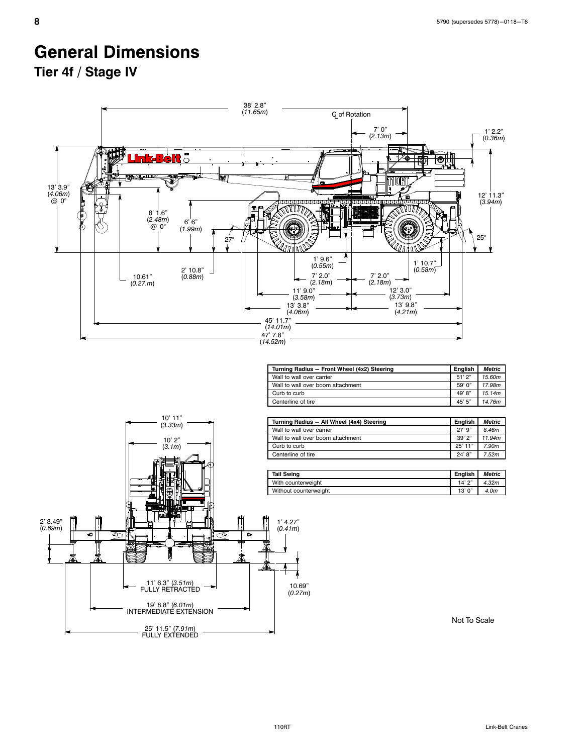### <span id="page-11-0"></span>**General Dimensions**

**Tier 4f / Stage IV**

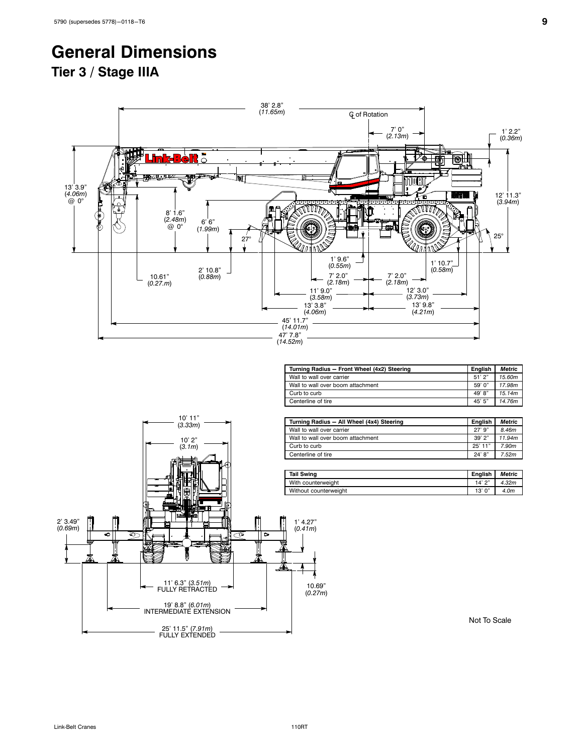### <span id="page-12-0"></span>**General Dimensions Tier 3 / Stage IIIA**

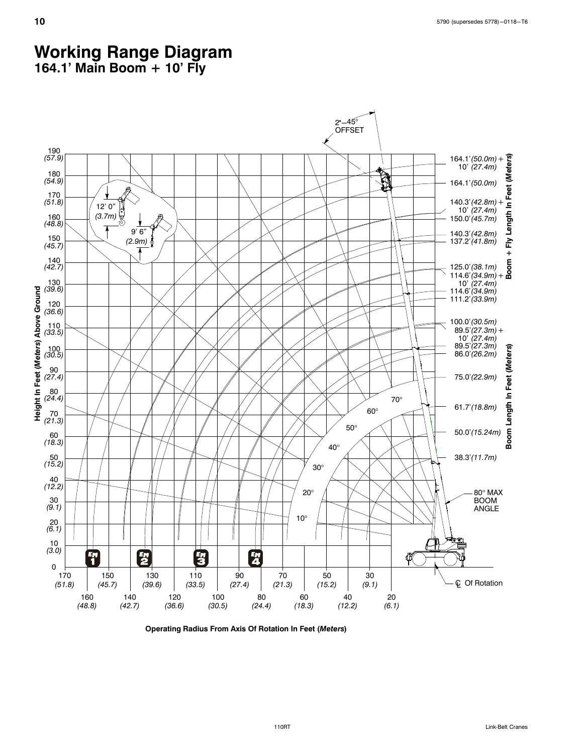### <span id="page-13-0"></span>**Working Range Diagram 164.1' Main Boom + 10' Fly**



**Operating Radius From Axis Of Rotation In Feet (***Meters***)**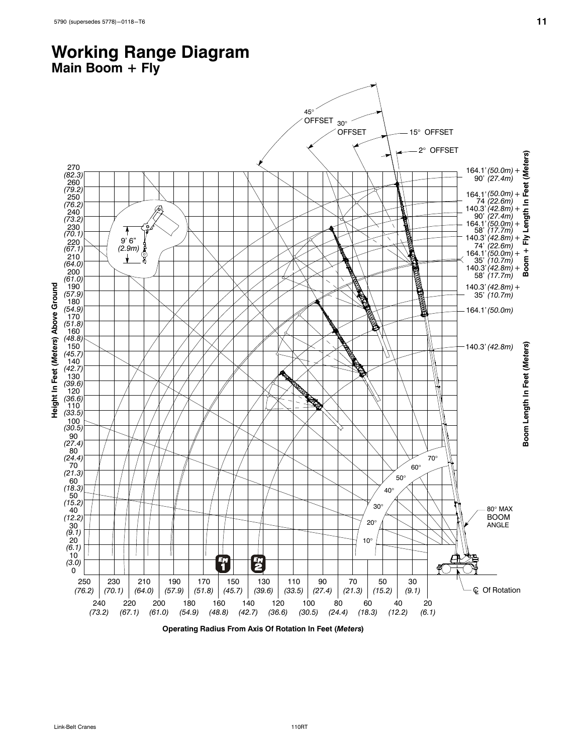### <span id="page-14-0"></span>**Working Range Diagram Main Boom + Fly**



**Operating Radius From Axis Of Rotation In Feet (***Meters***)**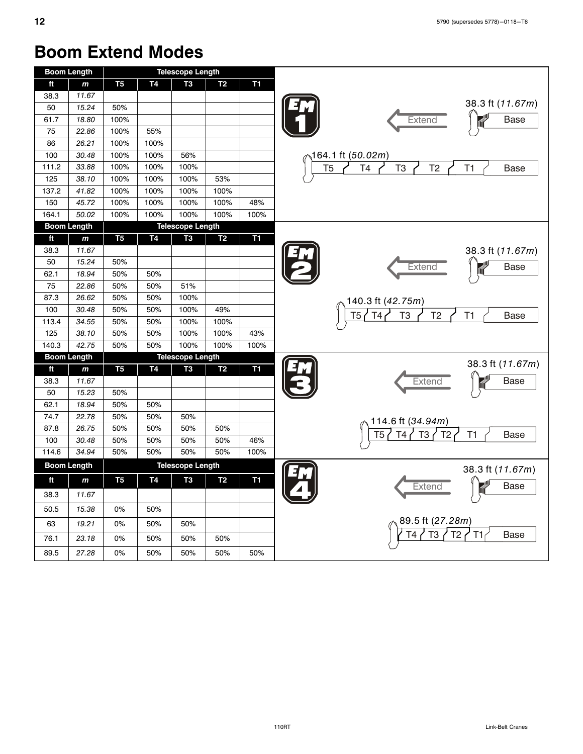### <span id="page-15-0"></span>**Boom Extend Modes**

|                                                                            |                |                | <b>Telescope Length</b> |           |                | <b>Boom Length</b> |       |
|----------------------------------------------------------------------------|----------------|----------------|-------------------------|-----------|----------------|--------------------|-------|
|                                                                            | T1             | T2             | T3                      | T4        | T <sub>5</sub> | $\mathsf{m}$       | ft    |
|                                                                            |                |                |                         |           |                | 11.67              | 38.3  |
| 38.3 ft (11.67m)                                                           |                |                |                         |           | 50%            | 15.24              | 50    |
| <b>Extend</b>                                                              |                |                |                         |           | 100%           | 18.80              | 61.7  |
|                                                                            |                |                |                         | 55%       | 100%           | 22.86              | 75    |
|                                                                            |                |                |                         | 100%      | 100%           | 26.21              | 86    |
| 164.1 ft (50.02 <i>m</i> )                                                 |                |                | 56%                     | 100%      | 100%           | 30.48              | 100   |
| T <sub>5</sub><br>T <sub>4</sub><br>T <sub>3</sub><br>T <sub>2</sub><br>T1 |                |                | 100%                    | 100%      | 100%           | 33.88              | 111.2 |
|                                                                            |                | 53%            | 100%                    | 100%      | 100%           | 38.10              | 125   |
|                                                                            |                | 100%           | 100%                    | 100%      | 100%           | 41.82              | 137.2 |
|                                                                            | 48%            | 100%           | 100%                    | 100%      | 100%           | 45.72              | 150   |
|                                                                            | 100%           | 100%           | 100%                    | 100%      | 100%           | 50.02              | 164.1 |
|                                                                            |                |                | <b>Telescope Length</b> |           |                | <b>Boom Length</b> |       |
|                                                                            | T <sub>1</sub> | T <sub>2</sub> | T <sub>3</sub>          | T4        | T <sub>5</sub> | $\mathbf{m}$       | ft    |
| 38.3 ft (11.67m)                                                           |                |                |                         |           |                | 11.67              | 38.3  |
| Extend                                                                     |                |                |                         |           | 50%            | 15.24              | 50    |
|                                                                            |                |                |                         | 50%       | 50%            | 18.94              | 62.1  |
|                                                                            |                |                | 51%                     | 50%       | 50%            | 22.86              | 75    |
| 140.3 ft (42.75m)                                                          |                |                | 100%                    | 50%       | 50%            | 26.62              | 87.3  |
| T <sub>3</sub><br>T <sub>2</sub><br>T <sub>4</sub><br>T1<br>T5             |                | 49%            | 100%                    | 50%       | 50%            | 30.48              | 100   |
|                                                                            |                | 100%           | 100%                    | 50%       | 50%            | 34.55              | 113.4 |
|                                                                            | 43%            | 100%           | 100%                    | 50%       | 50%            | 38.10              | 125   |
|                                                                            | 100%           | 100%           | 100%                    | 50%       | 50%            | 42.75              | 140.3 |
| 38.3 ft (11.67m)                                                           |                |                | <b>Telescope Length</b> |           |                | <b>Boom Length</b> |       |
|                                                                            | T <sub>1</sub> | T <sub>2</sub> | T3                      | <b>T4</b> | T <sub>5</sub> | $\mathbf{m}$       | ft    |
| Extend                                                                     |                |                |                         |           |                | 11.67              | 38.3  |
|                                                                            |                |                |                         |           | 50%            | 15.23              | 50    |
|                                                                            |                |                |                         | 50%       | 50%            | 18.94              | 62.1  |
| 114.6 ft (34.94m)                                                          |                |                | 50%                     | 50%       | 50%            | 22.78              | 74.7  |
| T <sub>5</sub><br>T <sub>2</sub><br>T1<br>TЗ                               |                | 50%            | 50%                     | 50%       | 50%            | 26.75              | 87.8  |
|                                                                            | 46%            | 50%            | 50%                     | 50%       | 50%            | 30.48              | 100   |
|                                                                            | 100%           | 50%            | 50%                     | 50%       | 50%            | 34.94              | 114.6 |
| 38.3 ft (11.67m)                                                           |                |                | <b>Telescope Length</b> |           |                | <b>Boom Length</b> |       |
|                                                                            | T1             | T2             | T3                      | Τ4        | T5             | $\mathbf{m}$       | ft    |
| Extend                                                                     |                |                |                         |           |                | 11.67              | 38.3  |
|                                                                            |                |                |                         | 50%       | 0%             | 15.38              | 50.5  |
| 89.5 ft (27.28m)                                                           |                |                | 50%                     | 50%       | 0%             | 19.21              | 63    |
| T <sub>2</sub><br>T1<br>ТЗ<br>T4                                           |                | 50%            | 50%                     | 50%       | 0%             | 23.18              | 76.1  |
|                                                                            | 50%            | 50%            | 50%                     | 50%       | 0%             | 27.28              | 89.5  |
|                                                                            |                |                |                         |           |                |                    |       |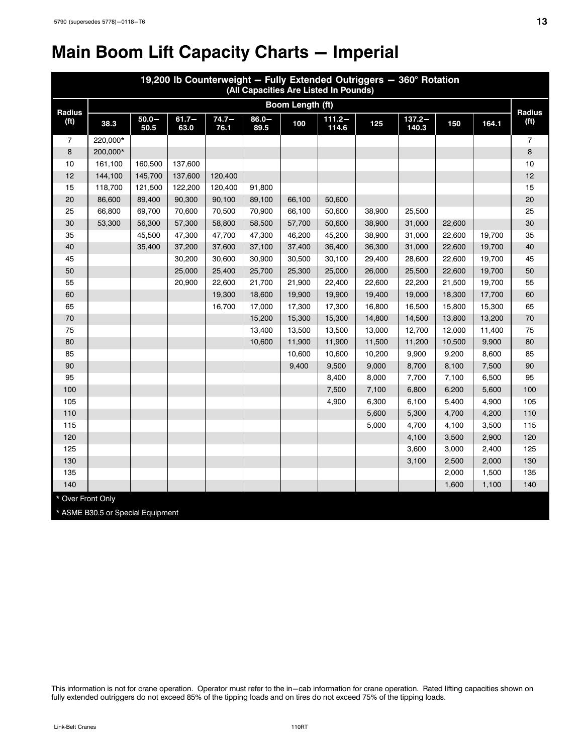# <span id="page-16-0"></span>**Main Boom Lift Capacity Charts - Imperial**

| 19,200 lb Counterweight - Fully Extended Outriggers - 360° Rotation<br>(All Capacities Are Listed In Pounds) |                                   |                  |                  |                  |                  |                  |                    |        |                    |        |        |                                    |
|--------------------------------------------------------------------------------------------------------------|-----------------------------------|------------------|------------------|------------------|------------------|------------------|--------------------|--------|--------------------|--------|--------|------------------------------------|
|                                                                                                              |                                   |                  |                  |                  |                  | Boom Length (ft) |                    |        |                    |        |        |                                    |
| Radius<br>(f <sup>t</sup> )                                                                                  | 38.3                              | $50.0 -$<br>50.5 | $61.7 -$<br>63.0 | $74.7 -$<br>76.1 | $86.0 -$<br>89.5 | 100              | $111.2 -$<br>114.6 | 125    | $137.2 -$<br>140.3 | 150    | 164.1  | <b>Radius</b><br>(f <sup>t</sup> ) |
| 7                                                                                                            | 220,000*                          |                  |                  |                  |                  |                  |                    |        |                    |        |        | $\overline{7}$                     |
| 8                                                                                                            | 200,000*                          |                  |                  |                  |                  |                  |                    |        |                    |        |        | 8                                  |
| 10                                                                                                           | 161,100                           | 160,500          | 137,600          |                  |                  |                  |                    |        |                    |        |        | 10                                 |
| 12                                                                                                           | 144,100                           | 145,700          | 137,600          | 120,400          |                  |                  |                    |        |                    |        |        | 12                                 |
| 15                                                                                                           | 118,700                           | 121,500          | 122,200          | 120,400          | 91,800           |                  |                    |        |                    |        |        | 15                                 |
| 20                                                                                                           | 86,600                            | 89,400           | 90,300           | 90,100           | 89,100           | 66,100           | 50,600             |        |                    |        |        | 20                                 |
| 25                                                                                                           | 66,800                            | 69,700           | 70,600           | 70,500           | 70,900           | 66,100           | 50,600             | 38,900 | 25,500             |        |        | 25                                 |
| 30                                                                                                           | 53,300                            | 56,300           | 57,300           | 58,800           | 58,500           | 57,700           | 50,600             | 38,900 | 31,000             | 22,600 |        | 30                                 |
| 35                                                                                                           |                                   | 45,500           | 47,300           | 47,700           | 47,300           | 46,200           | 45,200             | 38,900 | 31,000             | 22,600 | 19,700 | 35                                 |
| 40                                                                                                           |                                   | 35,400           | 37,200           | 37,600           | 37,100           | 37,400           | 36,400             | 36,300 | 31,000             | 22,600 | 19,700 | 40                                 |
| 45                                                                                                           |                                   |                  | 30,200           | 30,600           | 30,900           | 30,500           | 30,100             | 29,400 | 28,600             | 22,600 | 19,700 | 45                                 |
| 50                                                                                                           |                                   |                  | 25,000           | 25,400           | 25,700           | 25,300           | 25,000             | 26,000 | 25,500             | 22,600 | 19,700 | 50                                 |
| 55                                                                                                           |                                   |                  | 20,900           | 22,600           | 21,700           | 21,900           | 22,400             | 22,600 | 22,200             | 21,500 | 19,700 | 55                                 |
| 60                                                                                                           |                                   |                  |                  | 19,300           | 18,600           | 19,900           | 19,900             | 19,400 | 19,000             | 18,300 | 17,700 | 60                                 |
| 65                                                                                                           |                                   |                  |                  | 16,700           | 17,000           | 17,300           | 17,300             | 16,800 | 16,500             | 15,800 | 15,300 | 65                                 |
| 70                                                                                                           |                                   |                  |                  |                  | 15,200           | 15,300           | 15,300             | 14,800 | 14,500             | 13,800 | 13,200 | 70                                 |
| 75                                                                                                           |                                   |                  |                  |                  | 13,400           | 13,500           | 13,500             | 13,000 | 12,700             | 12,000 | 11,400 | 75                                 |
| 80                                                                                                           |                                   |                  |                  |                  | 10,600           | 11,900           | 11,900             | 11,500 | 11,200             | 10,500 | 9,900  | 80                                 |
| 85                                                                                                           |                                   |                  |                  |                  |                  | 10,600           | 10,600             | 10,200 | 9,900              | 9,200  | 8,600  | 85                                 |
| 90                                                                                                           |                                   |                  |                  |                  |                  | 9,400            | 9,500              | 9,000  | 8,700              | 8,100  | 7,500  | 90                                 |
| 95                                                                                                           |                                   |                  |                  |                  |                  |                  | 8,400              | 8,000  | 7,700              | 7,100  | 6,500  | 95                                 |
| 100                                                                                                          |                                   |                  |                  |                  |                  |                  | 7,500              | 7,100  | 6,800              | 6,200  | 5,600  | 100                                |
| 105                                                                                                          |                                   |                  |                  |                  |                  |                  | 4,900              | 6,300  | 6,100              | 5,400  | 4,900  | 105                                |
| 110                                                                                                          |                                   |                  |                  |                  |                  |                  |                    | 5,600  | 5,300              | 4,700  | 4,200  | 110                                |
| 115                                                                                                          |                                   |                  |                  |                  |                  |                  |                    | 5,000  | 4,700              | 4,100  | 3,500  | 115                                |
| 120                                                                                                          |                                   |                  |                  |                  |                  |                  |                    |        | 4,100              | 3,500  | 2,900  | 120                                |
| 125                                                                                                          |                                   |                  |                  |                  |                  |                  |                    |        | 3,600              | 3,000  | 2,400  | 125                                |
| 130                                                                                                          |                                   |                  |                  |                  |                  |                  |                    |        | 3,100              | 2,500  | 2,000  | 130                                |
| 135                                                                                                          |                                   |                  |                  |                  |                  |                  |                    |        |                    | 2,000  | 1,500  | 135                                |
| 140                                                                                                          |                                   |                  |                  |                  |                  |                  |                    |        |                    | 1,600  | 1,100  | 140                                |
| * Over Front Only                                                                                            |                                   |                  |                  |                  |                  |                  |                    |        |                    |        |        |                                    |
|                                                                                                              | * ASME B30.5 or Special Equipment |                  |                  |                  |                  |                  |                    |        |                    |        |        |                                    |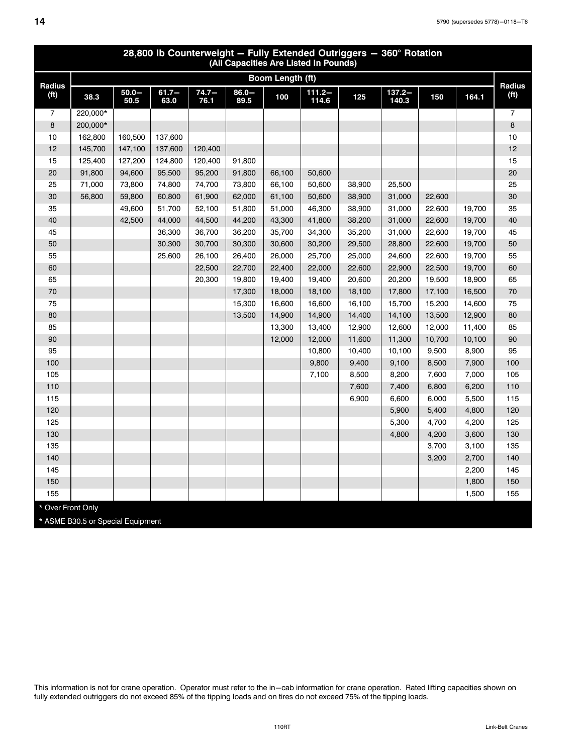<span id="page-17-0"></span>

|                             | 28,800 lb Counterweight - Fully Extended Outriggers - 360° Rotation<br>(All Capacities Are Listed In Pounds) |                  |                  |                  |                  |                  |                    |        |                    |        |        |                             |
|-----------------------------|--------------------------------------------------------------------------------------------------------------|------------------|------------------|------------------|------------------|------------------|--------------------|--------|--------------------|--------|--------|-----------------------------|
|                             |                                                                                                              |                  |                  |                  |                  | Boom Length (ft) |                    |        |                    |        |        |                             |
| Radius<br>(f <sup>t</sup> ) | 38.3                                                                                                         | $50.0 -$<br>50.5 | $61.7 -$<br>63.0 | $74.7 -$<br>76.1 | $86.0 -$<br>89.5 | 100              | $111.2 -$<br>114.6 | 125    | $137.2 -$<br>140.3 | 150    | 164.1  | Radius<br>(f <sup>t</sup> ) |
| $\overline{7}$              | 220,000*                                                                                                     |                  |                  |                  |                  |                  |                    |        |                    |        |        | $\overline{7}$              |
| 8                           | 200,000*                                                                                                     |                  |                  |                  |                  |                  |                    |        |                    |        |        | 8                           |
| 10                          | 162,800                                                                                                      | 160,500          | 137,600          |                  |                  |                  |                    |        |                    |        |        | 10                          |
| 12                          | 145,700                                                                                                      | 147,100          | 137,600          | 120,400          |                  |                  |                    |        |                    |        |        | 12                          |
| 15                          | 125,400                                                                                                      | 127,200          | 124,800          | 120,400          | 91,800           |                  |                    |        |                    |        |        | 15                          |
| 20                          | 91,800                                                                                                       | 94,600           | 95,500           | 95,200           | 91,800           | 66,100           | 50,600             |        |                    |        |        | 20                          |
| 25                          | 71,000                                                                                                       | 73,800           | 74,800           | 74,700           | 73,800           | 66,100           | 50,600             | 38,900 | 25,500             |        |        | 25                          |
| 30                          | 56,800                                                                                                       | 59,800           | 60,800           | 61,900           | 62,000           | 61,100           | 50,600             | 38,900 | 31,000             | 22,600 |        | 30                          |
| 35                          |                                                                                                              | 49,600           | 51,700           | 52,100           | 51,800           | 51,000           | 46,300             | 38,900 | 31,000             | 22,600 | 19,700 | 35                          |
| 40                          |                                                                                                              | 42,500           | 44,000           | 44,500           | 44,200           | 43,300           | 41,800             | 38,200 | 31,000             | 22,600 | 19,700 | 40                          |
| 45                          |                                                                                                              |                  | 36,300           | 36,700           | 36,200           | 35,700           | 34,300             | 35,200 | 31,000             | 22,600 | 19,700 | 45                          |
| 50                          |                                                                                                              |                  | 30,300           | 30,700           | 30,300           | 30,600           | 30,200             | 29,500 | 28,800             | 22,600 | 19,700 | 50                          |
| 55                          |                                                                                                              |                  | 25,600           | 26,100           | 26,400           | 26,000           | 25,700             | 25,000 | 24,600             | 22,600 | 19,700 | 55                          |
| 60                          |                                                                                                              |                  |                  | 22,500           | 22,700           | 22,400           | 22,000             | 22,600 | 22,900             | 22,500 | 19,700 | 60                          |
| 65                          |                                                                                                              |                  |                  | 20,300           | 19,800           | 19,400           | 19,400             | 20,600 | 20,200             | 19,500 | 18,900 | 65                          |
| 70                          |                                                                                                              |                  |                  |                  | 17,300           | 18,000           | 18,100             | 18,100 | 17,800             | 17,100 | 16,500 | 70                          |
| 75                          |                                                                                                              |                  |                  |                  | 15,300           | 16,600           | 16,600             | 16,100 | 15,700             | 15,200 | 14,600 | 75                          |
| 80                          |                                                                                                              |                  |                  |                  | 13,500           | 14,900           | 14,900             | 14,400 | 14,100             | 13,500 | 12,900 | 80                          |
| 85                          |                                                                                                              |                  |                  |                  |                  | 13,300           | 13,400             | 12,900 | 12,600             | 12,000 | 11,400 | 85                          |
| 90                          |                                                                                                              |                  |                  |                  |                  | 12,000           | 12,000             | 11,600 | 11,300             | 10,700 | 10,100 | 90                          |
| 95                          |                                                                                                              |                  |                  |                  |                  |                  | 10,800             | 10,400 | 10,100             | 9,500  | 8,900  | 95                          |
| 100                         |                                                                                                              |                  |                  |                  |                  |                  | 9,800              | 9,400  | 9,100              | 8,500  | 7,900  | 100                         |
| 105                         |                                                                                                              |                  |                  |                  |                  |                  | 7,100              | 8,500  | 8,200              | 7,600  | 7,000  | 105                         |
| 110                         |                                                                                                              |                  |                  |                  |                  |                  |                    | 7,600  | 7,400              | 6,800  | 6,200  | 110                         |
| 115                         |                                                                                                              |                  |                  |                  |                  |                  |                    | 6,900  | 6,600              | 6,000  | 5,500  | 115                         |
| 120                         |                                                                                                              |                  |                  |                  |                  |                  |                    |        | 5,900              | 5,400  | 4,800  | 120                         |
| 125                         |                                                                                                              |                  |                  |                  |                  |                  |                    |        | 5,300              | 4,700  | 4,200  | 125                         |
| 130                         |                                                                                                              |                  |                  |                  |                  |                  |                    |        | 4,800              | 4,200  | 3,600  | 130                         |
| 135                         |                                                                                                              |                  |                  |                  |                  |                  |                    |        |                    | 3,700  | 3,100  | 135                         |
| 140                         |                                                                                                              |                  |                  |                  |                  |                  |                    |        |                    | 3,200  | 2,700  | 140                         |
| 145                         |                                                                                                              |                  |                  |                  |                  |                  |                    |        |                    |        | 2,200  | 145                         |
| 150                         |                                                                                                              |                  |                  |                  |                  |                  |                    |        |                    |        | 1,800  | 150                         |
| 155                         |                                                                                                              |                  |                  |                  |                  |                  |                    |        |                    |        | 1,500  | 155                         |
| * Over Front Only           |                                                                                                              |                  |                  |                  |                  |                  |                    |        |                    |        |        |                             |
|                             | * ASME B30.5 or Special Equipment                                                                            |                  |                  |                  |                  |                  |                    |        |                    |        |        |                             |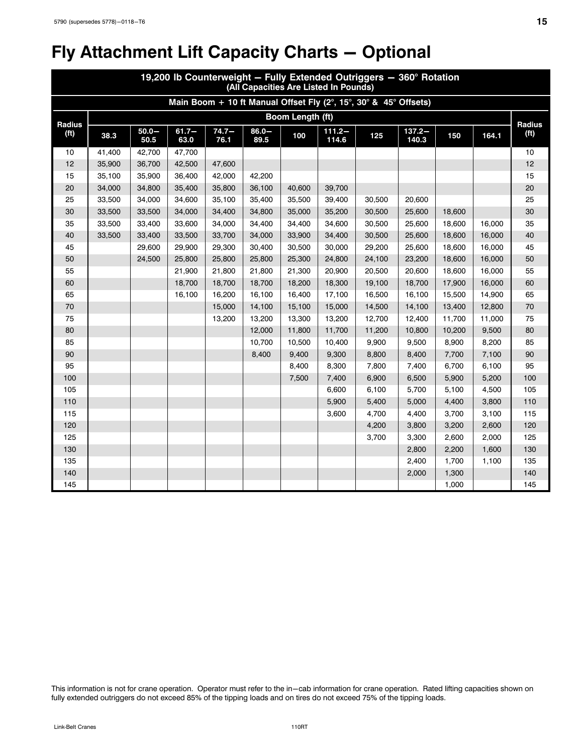# <span id="page-18-0"></span>**Fly Attachment Lift Capacity Charts - Optional**

|                   | 19,200 lb Counterweight - Fully Extended Outriggers - 360° Rotation<br>(All Capacities Are Listed In Pounds)<br>Main Boom + 10 ft Manual Offset Fly (2°, 15°, 30° & 45° Offsets) |                  |                  |                  |                  |                  |                    |        |                    |        |        |                                    |  |  |
|-------------------|----------------------------------------------------------------------------------------------------------------------------------------------------------------------------------|------------------|------------------|------------------|------------------|------------------|--------------------|--------|--------------------|--------|--------|------------------------------------|--|--|
|                   |                                                                                                                                                                                  |                  |                  |                  |                  |                  |                    |        |                    |        |        |                                    |  |  |
| <b>Radius</b>     |                                                                                                                                                                                  |                  |                  |                  |                  | Boom Length (ft) |                    |        |                    |        |        |                                    |  |  |
| (f <sup>t</sup> ) | 38.3                                                                                                                                                                             | $50.0 -$<br>50.5 | $61.7 -$<br>63.0 | $74.7 -$<br>76.1 | $86.0 -$<br>89.5 | 100              | $111.2 -$<br>114.6 | 125    | $137.2 -$<br>140.3 | 150    | 164.1  | <b>Radius</b><br>(f <sup>t</sup> ) |  |  |
| 10                | 41,400                                                                                                                                                                           | 42,700           | 47,700           |                  |                  |                  |                    |        |                    |        |        | 10                                 |  |  |
| 12                | 35,900                                                                                                                                                                           | 36,700           | 42,500           | 47,600           |                  |                  |                    |        |                    |        |        | 12                                 |  |  |
| 15                | 35,100                                                                                                                                                                           | 35,900           | 36,400           | 42,000           | 42,200           |                  |                    |        |                    |        |        | 15                                 |  |  |
| 20                | 34,000                                                                                                                                                                           | 34,800           | 35,400           | 35,800           | 36,100           | 40,600           | 39,700             |        |                    |        |        | 20                                 |  |  |
| 25                | 33,500                                                                                                                                                                           | 34,000           | 34,600           | 35,100           | 35,400           | 35,500           | 39,400             | 30,500 | 20,600             |        |        | 25                                 |  |  |
| 30                | 33,500                                                                                                                                                                           | 33,500           | 34,000           | 34,400           | 34,800           | 35,000           | 35,200             | 30,500 | 25,600             | 18,600 |        | 30                                 |  |  |
| 35                | 33,500                                                                                                                                                                           | 33,400           | 33,600           | 34,000           | 34,400           | 34,400           | 34,600             | 30,500 | 25,600             | 18,600 | 16,000 | 35                                 |  |  |
| 40                | 33,500                                                                                                                                                                           | 33,400           | 33,500           | 33,700           | 34,000           | 33,900           | 34,400             | 30,500 | 25,600             | 18,600 | 16,000 | 40                                 |  |  |
| 45                |                                                                                                                                                                                  | 29,600           | 29,900           | 29,300           | 30,400           | 30,500           | 30,000             | 29,200 | 25,600             | 18,600 | 16,000 | 45                                 |  |  |
| 50                |                                                                                                                                                                                  | 24,500           | 25,800           | 25,800           | 25,800           | 25,300           | 24,800             | 24,100 | 23,200             | 18,600 | 16,000 | 50                                 |  |  |
| 55                |                                                                                                                                                                                  |                  | 21,900           | 21,800           | 21,800           | 21,300           | 20,900             | 20,500 | 20,600             | 18,600 | 16,000 | 55                                 |  |  |
| 60                |                                                                                                                                                                                  |                  | 18,700           | 18,700           | 18,700           | 18,200           | 18,300             | 19,100 | 18,700             | 17,900 | 16,000 | 60                                 |  |  |
| 65                |                                                                                                                                                                                  |                  | 16,100           | 16,200           | 16,100           | 16,400           | 17,100             | 16,500 | 16,100             | 15,500 | 14,900 | 65                                 |  |  |
| 70                |                                                                                                                                                                                  |                  |                  | 15,000           | 14,100           | 15,100           | 15,000             | 14,500 | 14,100             | 13,400 | 12,800 | 70                                 |  |  |
| 75                |                                                                                                                                                                                  |                  |                  | 13,200           | 13,200           | 13,300           | 13,200             | 12,700 | 12,400             | 11,700 | 11,000 | 75                                 |  |  |
| 80                |                                                                                                                                                                                  |                  |                  |                  | 12,000           | 11,800           | 11,700             | 11,200 | 10,800             | 10,200 | 9,500  | 80                                 |  |  |
| 85                |                                                                                                                                                                                  |                  |                  |                  | 10,700           | 10,500           | 10,400             | 9,900  | 9,500              | 8,900  | 8,200  | 85                                 |  |  |
| 90                |                                                                                                                                                                                  |                  |                  |                  | 8,400            | 9,400            | 9,300              | 8,800  | 8,400              | 7,700  | 7,100  | 90                                 |  |  |
| 95                |                                                                                                                                                                                  |                  |                  |                  |                  | 8,400            | 8,300              | 7,800  | 7,400              | 6,700  | 6,100  | 95                                 |  |  |
| 100               |                                                                                                                                                                                  |                  |                  |                  |                  | 7,500            | 7,400              | 6,900  | 6,500              | 5,900  | 5,200  | 100                                |  |  |
| 105               |                                                                                                                                                                                  |                  |                  |                  |                  |                  | 6,600              | 6,100  | 5,700              | 5,100  | 4,500  | 105                                |  |  |
| 110               |                                                                                                                                                                                  |                  |                  |                  |                  |                  | 5,900              | 5,400  | 5,000              | 4,400  | 3,800  | 110                                |  |  |
| 115               |                                                                                                                                                                                  |                  |                  |                  |                  |                  | 3,600              | 4,700  | 4,400              | 3,700  | 3,100  | 115                                |  |  |
| 120               |                                                                                                                                                                                  |                  |                  |                  |                  |                  |                    | 4,200  | 3,800              | 3,200  | 2,600  | 120                                |  |  |
| 125               |                                                                                                                                                                                  |                  |                  |                  |                  |                  |                    | 3,700  | 3,300              | 2,600  | 2,000  | 125                                |  |  |
| 130               |                                                                                                                                                                                  |                  |                  |                  |                  |                  |                    |        | 2,800              | 2,200  | 1,600  | 130                                |  |  |
| 135               |                                                                                                                                                                                  |                  |                  |                  |                  |                  |                    |        | 2,400              | 1,700  | 1,100  | 135                                |  |  |
| 140               |                                                                                                                                                                                  |                  |                  |                  |                  |                  |                    |        | 2,000              | 1,300  |        | 140                                |  |  |
| 145               |                                                                                                                                                                                  |                  |                  |                  |                  |                  |                    |        |                    | 1,000  |        | 145                                |  |  |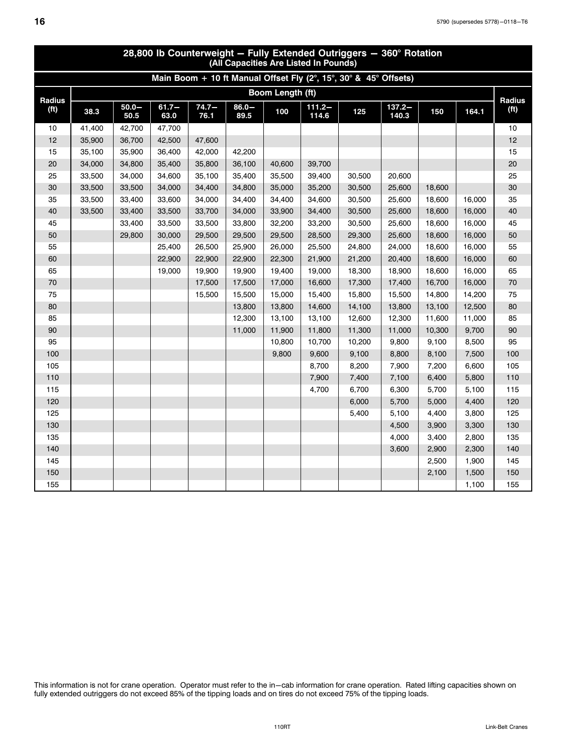<span id="page-19-0"></span>

|                   |        |                  |                  |                  |                  |                  | (All Capacities Are Listed In Pounds) | 28,800 lb Counterweight - Fully Extended Outriggers - 360° Rotation |                    |        |        |                   |
|-------------------|--------|------------------|------------------|------------------|------------------|------------------|---------------------------------------|---------------------------------------------------------------------|--------------------|--------|--------|-------------------|
|                   |        |                  |                  |                  |                  |                  |                                       | Main Boom + 10 ft Manual Offset Fly (2°, 15°, 30° & 45° Offsets)    |                    |        |        |                   |
| <b>Radius</b>     |        |                  |                  |                  |                  | Boom Length (ft) |                                       |                                                                     |                    |        |        | Radius            |
| (f <sup>t</sup> ) | 38.3   | $50.0 -$<br>50.5 | $61.7 -$<br>63.0 | $74.7 -$<br>76.1 | $86.0 -$<br>89.5 | 100              | $111.2 -$<br>114.6                    | 125                                                                 | $137.2 -$<br>140.3 | 150    | 164.1  | (f <sup>t</sup> ) |
| 10                | 41,400 | 42,700           | 47,700           |                  |                  |                  |                                       |                                                                     |                    |        |        | 10                |
| 12                | 35,900 | 36,700           | 42,500           | 47,600           |                  |                  |                                       |                                                                     |                    |        |        | 12                |
| 15                | 35,100 | 35,900           | 36,400           | 42,000           | 42,200           |                  |                                       |                                                                     |                    |        |        | 15                |
| 20                | 34,000 | 34,800           | 35,400           | 35,800           | 36,100           | 40,600           | 39,700                                |                                                                     |                    |        |        | 20                |
| 25                | 33,500 | 34,000           | 34,600           | 35,100           | 35,400           | 35,500           | 39,400                                | 30,500                                                              | 20,600             |        |        | 25                |
| 30                | 33,500 | 33,500           | 34,000           | 34,400           | 34,800           | 35,000           | 35,200                                | 30,500                                                              | 25,600             | 18,600 |        | 30                |
| 35                | 33,500 | 33,400           | 33,600           | 34,000           | 34,400           | 34,400           | 34,600                                | 30,500                                                              | 25,600             | 18,600 | 16,000 | 35                |
| 40                | 33,500 | 33,400           | 33,500           | 33,700           | 34,000           | 33,900           | 34,400                                | 30,500                                                              | 25,600             | 18,600 | 16,000 | 40                |
| 45                |        | 33,400           | 33,500           | 33,500           | 33,800           | 32,200           | 33,200                                | 30,500                                                              | 25,600             | 18,600 | 16,000 | 45                |
| 50                |        | 29,800           | 30,000           | 29,500           | 29,500           | 29,500           | 28,500                                | 29,300                                                              | 25,600             | 18,600 | 16,000 | 50                |
| 55                |        |                  | 25,400           | 26,500           | 25,900           | 26,000           | 25,500                                | 24,800                                                              | 24,000             | 18,600 | 16,000 | 55                |
| 60                |        |                  | 22,900           | 22,900           | 22,900           | 22,300           | 21,900                                | 21,200                                                              | 20,400             | 18,600 | 16,000 | 60                |
| 65                |        |                  | 19,000           | 19,900           | 19,900           | 19,400           | 19,000                                | 18,300                                                              | 18,900             | 18,600 | 16,000 | 65                |
| 70                |        |                  |                  | 17,500           | 17,500           | 17,000           | 16,600                                | 17,300                                                              | 17,400             | 16,700 | 16,000 | 70                |
| 75                |        |                  |                  | 15,500           | 15,500           | 15,000           | 15,400                                | 15,800                                                              | 15,500             | 14,800 | 14,200 | 75                |
| 80                |        |                  |                  |                  | 13,800           | 13,800           | 14,600                                | 14,100                                                              | 13,800             | 13,100 | 12,500 | 80                |
| 85                |        |                  |                  |                  | 12,300           | 13,100           | 13,100                                | 12,600                                                              | 12,300             | 11,600 | 11,000 | 85                |
| 90                |        |                  |                  |                  | 11,000           | 11,900           | 11,800                                | 11,300                                                              | 11,000             | 10,300 | 9,700  | 90                |
| 95                |        |                  |                  |                  |                  | 10,800           | 10,700                                | 10,200                                                              | 9,800              | 9,100  | 8,500  | 95                |
| 100               |        |                  |                  |                  |                  | 9,800            | 9,600                                 | 9,100                                                               | 8,800              | 8,100  | 7,500  | 100               |
| 105               |        |                  |                  |                  |                  |                  | 8,700                                 | 8,200                                                               | 7,900              | 7,200  | 6,600  | 105               |
| 110               |        |                  |                  |                  |                  |                  | 7,900                                 | 7,400                                                               | 7,100              | 6,400  | 5,800  | 110               |
| 115               |        |                  |                  |                  |                  |                  | 4,700                                 | 6,700                                                               | 6,300              | 5,700  | 5,100  | 115               |
| 120               |        |                  |                  |                  |                  |                  |                                       | 6,000                                                               | 5,700              | 5,000  | 4,400  | 120               |
| 125               |        |                  |                  |                  |                  |                  |                                       | 5,400                                                               | 5,100              | 4,400  | 3,800  | 125               |
| 130               |        |                  |                  |                  |                  |                  |                                       |                                                                     | 4,500              | 3,900  | 3,300  | 130               |
| 135               |        |                  |                  |                  |                  |                  |                                       |                                                                     | 4,000              | 3,400  | 2,800  | 135               |
| 140               |        |                  |                  |                  |                  |                  |                                       |                                                                     | 3,600              | 2,900  | 2,300  | 140               |
| 145               |        |                  |                  |                  |                  |                  |                                       |                                                                     |                    | 2,500  | 1,900  | 145               |
| 150               |        |                  |                  |                  |                  |                  |                                       |                                                                     |                    | 2,100  | 1,500  | 150               |
| 155               |        |                  |                  |                  |                  |                  |                                       |                                                                     |                    |        | 1,100  | 155               |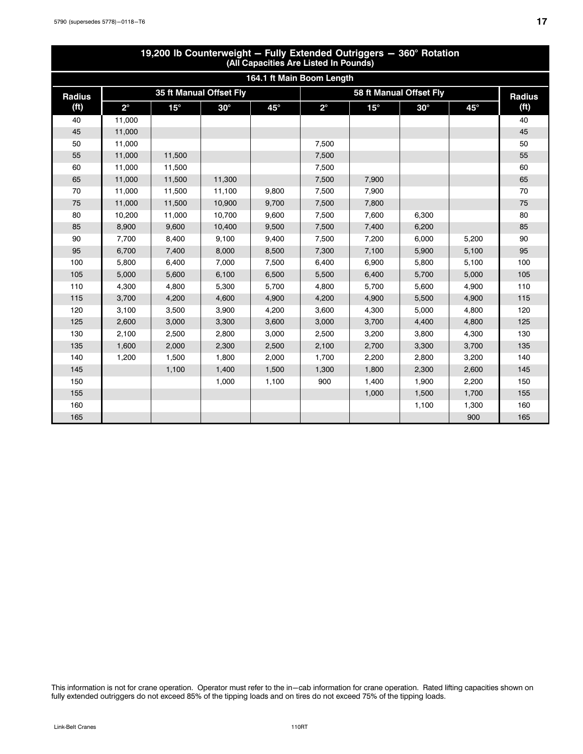<span id="page-20-0"></span>

|                   | (All Capacities Are Listed In Pounds) |                         |            |                           |             |            |                         |              |                   |  |  |  |  |  |
|-------------------|---------------------------------------|-------------------------|------------|---------------------------|-------------|------------|-------------------------|--------------|-------------------|--|--|--|--|--|
|                   |                                       |                         |            | 164.1 ft Main Boom Length |             |            |                         |              |                   |  |  |  |  |  |
| <b>Radius</b>     |                                       | 35 ft Manual Offset Fly |            |                           |             |            | 58 ft Manual Offset Fly |              | <b>Radius</b>     |  |  |  |  |  |
| (f <sup>t</sup> ) | $2^{\circ}$                           | $15^\circ$              | $30^\circ$ | $45^{\circ}$              | $2^{\circ}$ | $15^\circ$ | $30^\circ$              | $45^{\circ}$ | (f <sup>t</sup> ) |  |  |  |  |  |
| 40                | 11,000                                |                         |            |                           |             |            |                         |              | 40                |  |  |  |  |  |
| 45                | 11,000                                |                         |            |                           |             |            |                         |              | 45                |  |  |  |  |  |
| 50                | 11,000                                |                         |            |                           | 7,500       |            |                         |              | 50                |  |  |  |  |  |
| 55                | 11,000                                | 11,500                  |            |                           | 7,500       |            |                         |              | 55                |  |  |  |  |  |
| 60                | 11,000                                | 11,500                  |            |                           | 7,500       |            |                         |              | 60                |  |  |  |  |  |
| 65                | 11,000                                | 11,500                  | 11,300     |                           | 7,500       | 7,900      |                         |              | 65                |  |  |  |  |  |
| 70                | 11,000                                | 11,500                  | 11,100     | 9,800                     | 7,500       | 7,900      |                         |              | 70                |  |  |  |  |  |
| 75                | 11,000                                | 11,500                  | 10,900     | 9,700                     | 7,500       | 7,800      |                         |              | 75                |  |  |  |  |  |
| 80                | 10,200                                | 11,000                  | 10,700     | 9,600                     | 7,500       | 7,600      | 6,300                   |              | 80                |  |  |  |  |  |
| 85                | 8,900                                 | 9,600                   | 10,400     | 9,500                     | 7,500       | 7,400      | 6,200                   |              | 85                |  |  |  |  |  |
| 90                | 7,700                                 | 8,400                   | 9,100      | 9,400                     | 7,500       | 7,200      | 6,000                   | 5,200        | 90                |  |  |  |  |  |
| 95                | 6,700                                 | 7,400                   | 8,000      | 8,500                     | 7,300       | 7,100      | 5,900                   | 5,100        | 95                |  |  |  |  |  |
| 100               | 5,800                                 | 6,400                   | 7,000      | 7,500                     | 6,400       | 6,900      | 5,800                   | 5,100        | 100               |  |  |  |  |  |
| 105               | 5,000                                 | 5,600                   | 6,100      | 6,500                     | 5,500       | 6,400      | 5,700                   | 5,000        | 105               |  |  |  |  |  |
| 110               | 4,300                                 | 4,800                   | 5,300      | 5,700                     | 4,800       | 5,700      | 5,600                   | 4,900        | 110               |  |  |  |  |  |
| 115               | 3,700                                 | 4,200                   | 4,600      | 4,900                     | 4,200       | 4,900      | 5,500                   | 4,900        | 115               |  |  |  |  |  |
| 120               | 3,100                                 | 3,500                   | 3,900      | 4,200                     | 3,600       | 4,300      | 5,000                   | 4,800        | 120               |  |  |  |  |  |
| 125               | 2,600                                 | 3,000                   | 3,300      | 3,600                     | 3,000       | 3,700      | 4,400                   | 4,800        | 125               |  |  |  |  |  |
| 130               | 2,100                                 | 2,500                   | 2,800      | 3,000                     | 2,500       | 3,200      | 3,800                   | 4,300        | 130               |  |  |  |  |  |
| 135               | 1,600                                 | 2,000                   | 2,300      | 2,500                     | 2,100       | 2,700      | 3,300                   | 3,700        | 135               |  |  |  |  |  |
| 140               | 1,200                                 | 1,500                   | 1,800      | 2,000                     | 1,700       | 2,200      | 2,800                   | 3,200        | 140               |  |  |  |  |  |
| 145               |                                       | 1,100                   | 1,400      | 1,500                     | 1,300       | 1,800      | 2,300                   | 2,600        | 145               |  |  |  |  |  |
| 150               |                                       |                         | 1,000      | 1,100                     | 900         | 1,400      | 1,900                   | 2,200        | 150               |  |  |  |  |  |
| 155               |                                       |                         |            |                           |             | 1,000      | 1,500                   | 1,700        | 155               |  |  |  |  |  |
| 160               |                                       |                         |            |                           |             |            | 1,100                   | 1,300        | 160               |  |  |  |  |  |
| 165               |                                       |                         |            |                           |             |            |                         | 900          | 165               |  |  |  |  |  |

### 19,200 lb Counterweight - Fully Extended Outriggers - 360° Rotation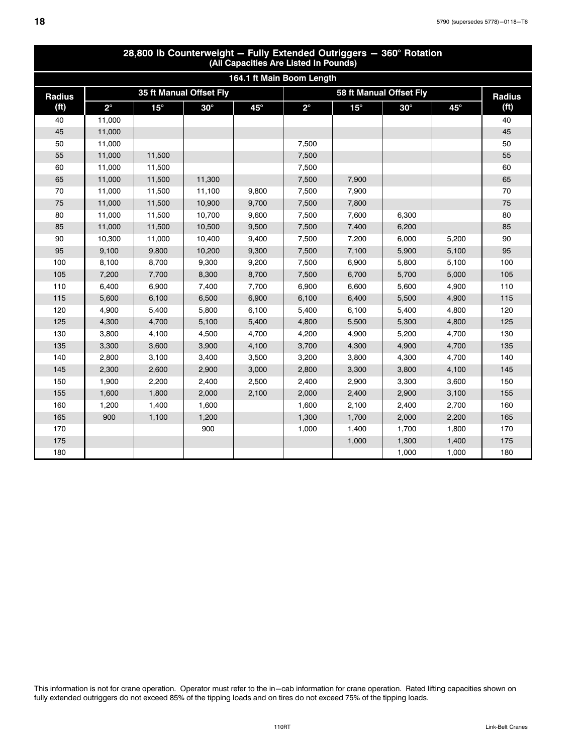<span id="page-21-0"></span>

| (All Capacities Are Listed In Pounds) |             |              |                         |              |             |            |                         |              |                   |  |  |  |
|---------------------------------------|-------------|--------------|-------------------------|--------------|-------------|------------|-------------------------|--------------|-------------------|--|--|--|
| 164.1 ft Main Boom Length             |             |              |                         |              |             |            |                         |              |                   |  |  |  |
| <b>Radius</b>                         |             |              | 35 ft Manual Offset Fly |              |             |            | 58 ft Manual Offset Fly |              | Radius            |  |  |  |
| (f <sup>t</sup> )                     | $2^{\circ}$ | $15^{\circ}$ | $30^\circ$              | $45^{\circ}$ | $2^{\circ}$ | $15^\circ$ | $30^\circ$              | $45^{\circ}$ | (f <sup>t</sup> ) |  |  |  |
| 40                                    | 11,000      |              |                         |              |             |            |                         |              | 40                |  |  |  |
| 45                                    | 11,000      |              |                         |              |             |            |                         |              | 45                |  |  |  |
| 50                                    | 11,000      |              |                         |              | 7,500       |            |                         |              | 50                |  |  |  |
| 55                                    | 11,000      | 11,500       |                         |              | 7,500       |            |                         |              | 55                |  |  |  |
| 60                                    | 11,000      | 11,500       |                         |              | 7,500       |            |                         |              | 60                |  |  |  |
| 65                                    | 11,000      | 11,500       | 11,300                  |              | 7,500       | 7,900      |                         |              | 65                |  |  |  |
| 70                                    | 11,000      | 11,500       | 11,100                  | 9,800        | 7,500       | 7,900      |                         |              | 70                |  |  |  |
| 75                                    | 11,000      | 11,500       | 10,900                  | 9,700        | 7,500       | 7,800      |                         |              | 75                |  |  |  |
| 80                                    | 11,000      | 11,500       | 10,700                  | 9,600        | 7,500       | 7,600      | 6,300                   |              | 80                |  |  |  |
| 85                                    | 11,000      | 11,500       | 10,500                  | 9,500        | 7,500       | 7,400      | 6,200                   |              | 85                |  |  |  |
| 90                                    | 10,300      | 11,000       | 10,400                  | 9,400        | 7,500       | 7,200      | 6,000                   | 5,200        | 90                |  |  |  |
| 95                                    | 9,100       | 9,800        | 10,200                  | 9,300        | 7,500       | 7,100      | 5,900                   | 5,100        | 95                |  |  |  |
| 100                                   | 8,100       | 8,700        | 9,300                   | 9,200        | 7,500       | 6,900      | 5,800                   | 5,100        | 100               |  |  |  |
| 105                                   | 7,200       | 7,700        | 8,300                   | 8,700        | 7,500       | 6,700      | 5,700                   | 5,000        | 105               |  |  |  |
| 110                                   | 6,400       | 6,900        | 7,400                   | 7,700        | 6,900       | 6,600      | 5,600                   | 4,900        | 110               |  |  |  |
| 115                                   | 5,600       | 6,100        | 6,500                   | 6,900        | 6,100       | 6,400      | 5,500                   | 4,900        | 115               |  |  |  |
| 120                                   | 4,900       | 5,400        | 5,800                   | 6,100        | 5,400       | 6,100      | 5,400                   | 4,800        | 120               |  |  |  |
| 125                                   | 4,300       | 4,700        | 5,100                   | 5,400        | 4,800       | 5,500      | 5,300                   | 4,800        | 125               |  |  |  |
| 130                                   | 3,800       | 4,100        | 4,500                   | 4,700        | 4,200       | 4,900      | 5,200                   | 4,700        | 130               |  |  |  |
| 135                                   | 3,300       | 3,600        | 3,900                   | 4,100        | 3,700       | 4,300      | 4,900                   | 4,700        | 135               |  |  |  |
| 140                                   | 2,800       | 3,100        | 3,400                   | 3,500        | 3,200       | 3,800      | 4,300                   | 4,700        | 140               |  |  |  |
| 145                                   | 2,300       | 2,600        | 2,900                   | 3,000        | 2,800       | 3,300      | 3,800                   | 4,100        | 145               |  |  |  |
| 150                                   | 1,900       | 2,200        | 2,400                   | 2,500        | 2,400       | 2,900      | 3,300                   | 3,600        | 150               |  |  |  |
| 155                                   | 1,600       | 1,800        | 2,000                   | 2,100        | 2,000       | 2,400      | 2,900                   | 3,100        | 155               |  |  |  |
| 160                                   | 1,200       | 1,400        | 1,600                   |              | 1,600       | 2,100      | 2,400                   | 2,700        | 160               |  |  |  |
| 165                                   | 900         | 1,100        | 1,200                   |              | 1,300       | 1,700      | 2,000                   | 2,200        | 165               |  |  |  |
| 170                                   |             |              | 900                     |              | 1,000       | 1,400      | 1,700                   | 1,800        | 170               |  |  |  |
| 175                                   |             |              |                         |              |             | 1,000      | 1,300                   | 1,400        | 175               |  |  |  |
| 180                                   |             |              |                         |              |             |            | 1,000                   | 1,000        | 180               |  |  |  |

### 28,800 lb Counterweight - Fully Extended Outriggers - 360° Rotation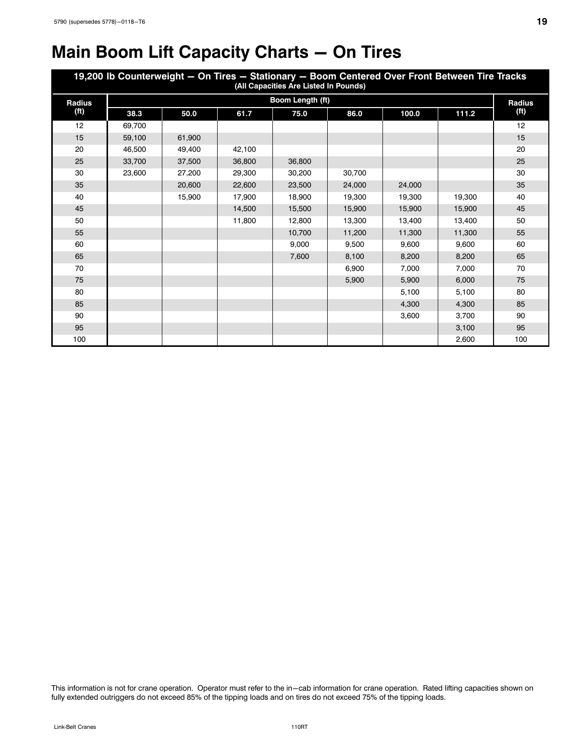# <span id="page-22-0"></span>**Main Boom Lift Capacity Charts - On Tires**

| 19,200 lb Counterweight - On Tires - Stationary - Boom Centered Over Front Between Tire Tracks<br>(All Capacities Are Listed In Pounds) |        |        |        |                  |        |        |        |               |  |  |
|-----------------------------------------------------------------------------------------------------------------------------------------|--------|--------|--------|------------------|--------|--------|--------|---------------|--|--|
| <b>Radius</b>                                                                                                                           |        |        |        | Boom Length (ft) |        |        |        | <b>Radius</b> |  |  |
| (f <sup>t</sup> )                                                                                                                       | 38.3   | 50.0   | 61.7   | 75.0             | 86.0   | 100.0  | 111.2  | (ft)          |  |  |
| 12                                                                                                                                      | 69,700 |        |        |                  |        |        |        | 12            |  |  |
| 15                                                                                                                                      | 59,100 | 61,900 |        |                  |        |        |        | 15            |  |  |
| 20                                                                                                                                      | 46,500 | 49,400 | 42,100 |                  |        |        |        | 20            |  |  |
| 25                                                                                                                                      | 33,700 | 37,500 | 36,800 | 36,800           |        |        |        | 25            |  |  |
| 30                                                                                                                                      | 23,600 | 27,200 | 29,300 | 30,200           | 30.700 |        |        | 30            |  |  |
| 35                                                                                                                                      |        | 20,600 | 22,600 | 23,500           | 24,000 | 24,000 |        | 35            |  |  |
| 40                                                                                                                                      |        | 15,900 | 17,900 | 18,900           | 19,300 | 19,300 | 19,300 | 40            |  |  |
| 45                                                                                                                                      |        |        | 14,500 | 15,500           | 15,900 | 15,900 | 15,900 | 45            |  |  |
| 50                                                                                                                                      |        |        | 11,800 | 12,800           | 13,300 | 13,400 | 13,400 | 50            |  |  |
| 55                                                                                                                                      |        |        |        | 10,700           | 11,200 | 11,300 | 11,300 | 55            |  |  |
| 60                                                                                                                                      |        |        |        | 9,000            | 9,500  | 9,600  | 9,600  | 60            |  |  |
| 65                                                                                                                                      |        |        |        | 7,600            | 8,100  | 8,200  | 8,200  | 65            |  |  |
| 70                                                                                                                                      |        |        |        |                  | 6,900  | 7,000  | 7,000  | 70            |  |  |
| 75                                                                                                                                      |        |        |        |                  | 5,900  | 5,900  | 6,000  | 75            |  |  |
| 80                                                                                                                                      |        |        |        |                  |        | 5,100  | 5,100  | 80            |  |  |
| 85                                                                                                                                      |        |        |        |                  |        | 4,300  | 4,300  | 85            |  |  |
| 90                                                                                                                                      |        |        |        |                  |        | 3,600  | 3,700  | 90            |  |  |
| 95                                                                                                                                      |        |        |        |                  |        |        | 3,100  | 95            |  |  |
| 100                                                                                                                                     |        |        |        |                  |        |        | 2,600  | 100           |  |  |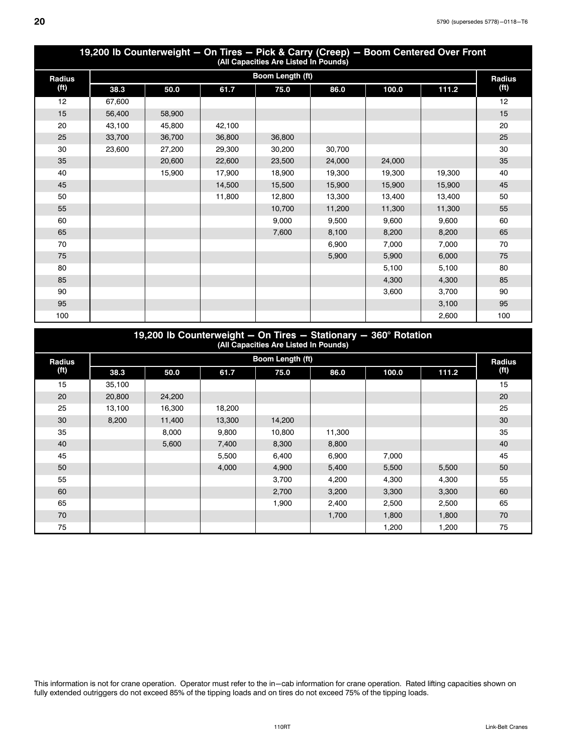<span id="page-23-0"></span>

| 19,200 lb Counterweight - On Tires - Pick & Carry (Creep) - Boom Centered Over Front<br>(All Capacities Are Listed In Pounds) |        |        |        |                  |        |        |        |                   |  |  |  |
|-------------------------------------------------------------------------------------------------------------------------------|--------|--------|--------|------------------|--------|--------|--------|-------------------|--|--|--|
| Radius                                                                                                                        |        |        |        | Boom Length (ft) |        |        |        | Radius            |  |  |  |
| (f <sup>t</sup> )                                                                                                             | 38.3   | 50.0   | 61.7   | 75.0             | 86.0   | 100.0  | 111.2  | (f <sup>t</sup> ) |  |  |  |
| 12                                                                                                                            | 67,600 |        |        |                  |        |        |        | 12                |  |  |  |
| 15                                                                                                                            | 56,400 | 58,900 |        |                  |        |        |        | 15                |  |  |  |
| 20                                                                                                                            | 43,100 | 45,800 | 42,100 |                  |        |        |        | 20                |  |  |  |
| 25                                                                                                                            | 33,700 | 36,700 | 36,800 | 36,800           |        |        |        | 25                |  |  |  |
| 30                                                                                                                            | 23,600 | 27,200 | 29,300 | 30,200           | 30,700 |        |        | 30                |  |  |  |
| 35                                                                                                                            |        | 20,600 | 22,600 | 23,500           | 24,000 | 24,000 |        | 35                |  |  |  |
| 40                                                                                                                            |        | 15,900 | 17,900 | 18,900           | 19,300 | 19,300 | 19,300 | 40                |  |  |  |
| 45                                                                                                                            |        |        | 14,500 | 15,500           | 15,900 | 15,900 | 15,900 | 45                |  |  |  |
| 50                                                                                                                            |        |        | 11,800 | 12,800           | 13,300 | 13,400 | 13,400 | 50                |  |  |  |
| 55                                                                                                                            |        |        |        | 10,700           | 11,200 | 11,300 | 11,300 | 55                |  |  |  |
| 60                                                                                                                            |        |        |        | 9,000            | 9,500  | 9,600  | 9,600  | 60                |  |  |  |
| 65                                                                                                                            |        |        |        | 7,600            | 8,100  | 8,200  | 8,200  | 65                |  |  |  |
| 70                                                                                                                            |        |        |        |                  | 6,900  | 7,000  | 7,000  | 70                |  |  |  |
| 75                                                                                                                            |        |        |        |                  | 5,900  | 5,900  | 6,000  | 75                |  |  |  |
| 80                                                                                                                            |        |        |        |                  |        | 5,100  | 5,100  | 80                |  |  |  |
| 85                                                                                                                            |        |        |        |                  |        | 4,300  | 4,300  | 85                |  |  |  |
| 90                                                                                                                            |        |        |        |                  |        | 3,600  | 3,700  | 90                |  |  |  |
| 95                                                                                                                            |        |        |        |                  |        |        | 3,100  | 95                |  |  |  |
| 100                                                                                                                           |        |        |        |                  |        |        | 2,600  | 100               |  |  |  |

| 19,200 lb Counterweight - On Tires - Stationary - 360° Rotation<br>(All Capacities Are Listed In Pounds) |        |        |        |                  |        |       |       |                   |  |  |  |
|----------------------------------------------------------------------------------------------------------|--------|--------|--------|------------------|--------|-------|-------|-------------------|--|--|--|
| <b>Radius</b>                                                                                            |        |        |        | Boom Length (ft) |        |       |       | <b>Radius</b>     |  |  |  |
| (f <sup>t</sup> )                                                                                        | 38.3   | 50.0   | 61.7   | 75.0             | 86.0   | 100.0 | 111.2 | (f <sup>t</sup> ) |  |  |  |
| 15                                                                                                       | 35,100 |        |        |                  |        |       |       | 15                |  |  |  |
| 20                                                                                                       | 20,800 | 24,200 |        |                  |        |       |       | 20                |  |  |  |
| 25                                                                                                       | 13,100 | 16,300 | 18,200 |                  |        |       |       | 25                |  |  |  |
| 30                                                                                                       | 8,200  | 11,400 | 13,300 | 14,200           |        |       |       | 30                |  |  |  |
| 35                                                                                                       |        | 8,000  | 9,800  | 10,800           | 11,300 |       |       | 35                |  |  |  |
| 40                                                                                                       |        | 5,600  | 7,400  | 8,300            | 8,800  |       |       | 40                |  |  |  |
| 45                                                                                                       |        |        | 5,500  | 6,400            | 6,900  | 7,000 |       | 45                |  |  |  |
| 50                                                                                                       |        |        | 4.000  | 4,900            | 5,400  | 5,500 | 5,500 | 50                |  |  |  |
| 55                                                                                                       |        |        |        | 3,700            | 4,200  | 4,300 | 4,300 | 55                |  |  |  |
| 60                                                                                                       |        |        |        | 2,700            | 3,200  | 3,300 | 3,300 | 60                |  |  |  |
| 65                                                                                                       |        |        |        | 1,900            | 2,400  | 2,500 | 2,500 | 65                |  |  |  |
| 70                                                                                                       |        |        |        |                  | 1,700  | 1,800 | 1,800 | 70                |  |  |  |
| 75                                                                                                       |        |        |        |                  |        | 1,200 | 1,200 | 75                |  |  |  |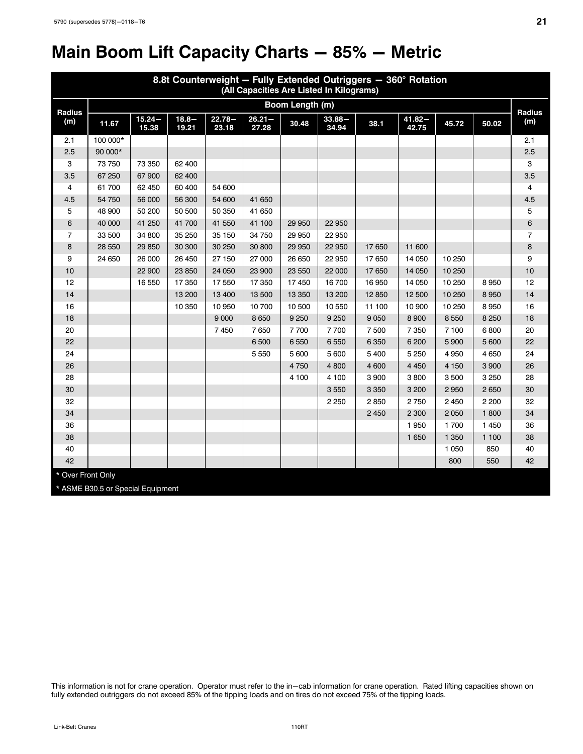# <span id="page-24-0"></span>**Main Boom Lift Capacity Charts - 85% - Metric**

| 8.8t Counterweight - Fully Extended Outriggers - 360° Rotation<br>(All Capacities Are Listed In Kilograms) |                                   |                    |                   |                    |                    |                 |                    |         |                    |         |         |                |
|------------------------------------------------------------------------------------------------------------|-----------------------------------|--------------------|-------------------|--------------------|--------------------|-----------------|--------------------|---------|--------------------|---------|---------|----------------|
|                                                                                                            |                                   |                    |                   |                    |                    | Boom Length (m) |                    |         |                    |         |         |                |
| <b>Radius</b><br>(m)                                                                                       | 11.67                             | $15.24 -$<br>15.38 | $18.8 -$<br>19.21 | $22.78 -$<br>23.18 | $26.21 -$<br>27.28 | 30.48           | $33.88 -$<br>34.94 | 38.1    | $41.82 -$<br>42.75 | 45.72   | 50.02   | Radius<br>(m)  |
| 2.1                                                                                                        | 100 000*                          |                    |                   |                    |                    |                 |                    |         |                    |         |         | 2.1            |
| 2.5                                                                                                        | 90 000*                           |                    |                   |                    |                    |                 |                    |         |                    |         |         | 2.5            |
| 3                                                                                                          | 73 750                            | 73 350             | 62 400            |                    |                    |                 |                    |         |                    |         |         | 3              |
| 3.5                                                                                                        | 67 250                            | 67 900             | 62 400            |                    |                    |                 |                    |         |                    |         |         | 3.5            |
| 4                                                                                                          | 61 700                            | 62 450             | 60 400            | 54 600             |                    |                 |                    |         |                    |         |         | 4              |
| 4.5                                                                                                        | 54 750                            | 56 000             | 56 300            | 54 600             | 41 650             |                 |                    |         |                    |         |         | 4.5            |
| 5                                                                                                          | 48 900                            | 50 200             | 50 500            | 50 350             | 41 650             |                 |                    |         |                    |         |         | 5              |
| 6                                                                                                          | 40 000                            | 41 250             | 41 700            | 41 550             | 41 100             | 29 950          | 22 950             |         |                    |         |         | 6              |
| $\overline{7}$                                                                                             | 33 500                            | 34 800             | 35 250            | 35 150             | 34 750             | 29 950          | 22 950             |         |                    |         |         | $\overline{7}$ |
| 8                                                                                                          | 28 550                            | 29 850             | 30 300            | 30 250             | 30 800             | 29 950          | 22 950             | 17 650  | 11 600             |         |         | 8              |
| 9                                                                                                          | 24 650                            | 26 000             | 26 450            | 27 150             | 27 000             | 26 650          | 22 950             | 17 650  | 14 050             | 10 250  |         | 9              |
| 10                                                                                                         |                                   | 22 900             | 23 850            | 24 050             | 23 900             | 23 550          | 22 000             | 17 650  | 14 050             | 10 250  |         | 10             |
| 12                                                                                                         |                                   | 16 550             | 17 350            | 17550              | 17350              | 17 450          | 16700              | 16 950  | 14 050             | 10 250  | 8950    | 12             |
| 14                                                                                                         |                                   |                    | 13 200            | 13 400             | 13 500             | 13 350          | 13 200             | 12 850  | 12 500             | 10 250  | 8950    | 14             |
| 16                                                                                                         |                                   |                    | 10 350            | 10 950             | 10700              | 10 500          | 10 550             | 11 100  | 10 900             | 10 250  | 8950    | 16             |
| 18                                                                                                         |                                   |                    |                   | 9 0 0 0            | 8 6 5 0            | 9 2 5 0         | 9 2 5 0            | 9 0 5 0 | 8 9 0 0            | 8550    | 8 2 5 0 | 18             |
| 20                                                                                                         |                                   |                    |                   | 7 4 5 0            | 7650               | 7700            | 7700               | 7500    | 7 3 5 0            | 7 100   | 6800    | 20             |
| 22                                                                                                         |                                   |                    |                   |                    | 6 500              | 6 5 5 0         | 6 5 5 0            | 6 3 5 0 | 6 200              | 5 9 0 0 | 5 600   | 22             |
| 24                                                                                                         |                                   |                    |                   |                    | 5 5 5 0            | 5 600           | 5 600              | 5 400   | 5 2 5 0            | 4950    | 4650    | 24             |
| 26                                                                                                         |                                   |                    |                   |                    |                    | 4750            | 4 800              | 4 600   | 4 4 5 0            | 4 1 5 0 | 3 9 0 0 | 26             |
| 28                                                                                                         |                                   |                    |                   |                    |                    | 4 100           | 4 100              | 3 9 0 0 | 3800               | 3500    | 3 2 5 0 | 28             |
| 30                                                                                                         |                                   |                    |                   |                    |                    |                 | 3 5 5 0            | 3 3 5 0 | 3 200              | 2950    | 2650    | 30             |
| 32                                                                                                         |                                   |                    |                   |                    |                    |                 | 2 2 5 0            | 2850    | 2750               | 2 4 5 0 | 2 2 0 0 | 32             |
| 34                                                                                                         |                                   |                    |                   |                    |                    |                 |                    | 2 4 5 0 | 2 3 0 0            | 2050    | 1800    | 34             |
| 36                                                                                                         |                                   |                    |                   |                    |                    |                 |                    |         | 1950               | 1700    | 1 4 5 0 | 36             |
| 38                                                                                                         |                                   |                    |                   |                    |                    |                 |                    |         | 1 6 5 0            | 1 3 5 0 | 1 100   | 38             |
| 40                                                                                                         |                                   |                    |                   |                    |                    |                 |                    |         |                    | 1 0 5 0 | 850     | 40             |
| 42                                                                                                         |                                   |                    |                   |                    |                    |                 |                    |         |                    | 800     | 550     | 42             |
| * Over Front Only                                                                                          |                                   |                    |                   |                    |                    |                 |                    |         |                    |         |         |                |
|                                                                                                            | * ASME B30.5 or Special Equipment |                    |                   |                    |                    |                 |                    |         |                    |         |         |                |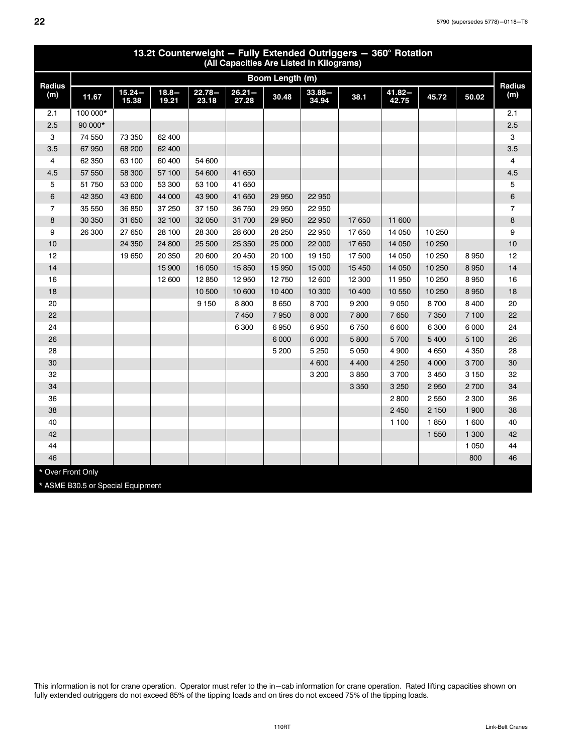<span id="page-25-0"></span>

| 13.2t Counterweight - Fully Extended Outriggers - 360° Rotation<br>(All Capacities Are Listed In Kilograms) |                                   |                    |                   |                    |                    |                 |                    |         |                    |         |         |                      |
|-------------------------------------------------------------------------------------------------------------|-----------------------------------|--------------------|-------------------|--------------------|--------------------|-----------------|--------------------|---------|--------------------|---------|---------|----------------------|
|                                                                                                             |                                   |                    |                   |                    |                    | Boom Length (m) |                    |         |                    |         |         |                      |
| Radius<br>(m)                                                                                               | 11.67                             | $15.24 -$<br>15.38 | $18.8 -$<br>19.21 | $22.78 -$<br>23.18 | $26.21 -$<br>27.28 | 30.48           | $33.88 -$<br>34.94 | 38.1    | $41.82 -$<br>42.75 | 45.72   | 50.02   | <b>Radius</b><br>(m) |
| 2.1                                                                                                         | 100 000*                          |                    |                   |                    |                    |                 |                    |         |                    |         |         | 2.1                  |
| 2.5                                                                                                         | 90 000*                           |                    |                   |                    |                    |                 |                    |         |                    |         |         | 2.5                  |
| 3                                                                                                           | 74 550                            | 73 350             | 62 400            |                    |                    |                 |                    |         |                    |         |         | 3                    |
| 3.5                                                                                                         | 67 950                            | 68 200             | 62 400            |                    |                    |                 |                    |         |                    |         |         | 3.5                  |
| 4                                                                                                           | 62 350                            | 63 100             | 60 400            | 54 600             |                    |                 |                    |         |                    |         |         | 4                    |
| 4.5                                                                                                         | 57 550                            | 58 300             | 57 100            | 54 600             | 41 650             |                 |                    |         |                    |         |         | 4.5                  |
| 5                                                                                                           | 51 750                            | 53 000             | 53 300            | 53 100             | 41 650             |                 |                    |         |                    |         |         | 5                    |
| 6                                                                                                           | 42 350                            | 43 600             | 44 000            | 43 900             | 41 650             | 29 950          | 22 950             |         |                    |         |         | $\,$ 6 $\,$          |
| $\overline{7}$                                                                                              | 35 550                            | 36 850             | 37 250            | 37 150             | 36750              | 29 950          | 22 950             |         |                    |         |         | $\overline{7}$       |
| 8                                                                                                           | 30 350                            | 31 650             | 32 100            | 32 050             | 31 700             | 29 950          | 22 950             | 17 650  | 11 600             |         |         | 8                    |
| 9                                                                                                           | 26 300                            | 27 650             | 28 100            | 28 300             | 28 600             | 28 250          | 22 950             | 17 650  | 14 050             | 10 250  |         | 9                    |
| 10                                                                                                          |                                   | 24 350             | 24 800            | 25 500             | 25 350             | 25 000          | 22 000             | 17 650  | 14 050             | 10 250  |         | $10$                 |
| 12                                                                                                          |                                   | 19 650             | 20 350            | 20 600             | 20 450             | 20 100          | 19 150             | 17 500  | 14 050             | 10 250  | 8950    | 12                   |
| 14                                                                                                          |                                   |                    | 15 900            | 16 050             | 15 850             | 15 950          | 15 000             | 15 4 50 | 14 050             | 10 250  | 8950    | 14                   |
| 16                                                                                                          |                                   |                    | 12 600            | 12850              | 12 950             | 12750           | 12 600             | 12 300  | 11 950             | 10 250  | 8950    | 16                   |
| 18                                                                                                          |                                   |                    |                   | 10 500             | 10 600             | 10 400          | 10 300             | 10 400  | 10 550             | 10 250  | 8950    | 18                   |
| 20                                                                                                          |                                   |                    |                   | 9 1 5 0            | 8800               | 8650            | 8700               | 9 200   | 9 0 5 0            | 8700    | 8 4 0 0 | 20                   |
| 22                                                                                                          |                                   |                    |                   |                    | 7 4 5 0            | 7950            | 8 0 0 0            | 7800    | 7650               | 7 3 5 0 | 7 100   | 22                   |
| 24                                                                                                          |                                   |                    |                   |                    | 6 300              | 6950            | 6950               | 6750    | 6 600              | 6 3 0 0 | 6 0 0 0 | 24                   |
| 26                                                                                                          |                                   |                    |                   |                    |                    | 6 0 0 0         | 6 0 0 0            | 5 800   | 5700               | 5 4 0 0 | 5 100   | 26                   |
| 28                                                                                                          |                                   |                    |                   |                    |                    | 5 200           | 5 2 5 0            | 5 0 5 0 | 4 900              | 4650    | 4 3 5 0 | 28                   |
| 30                                                                                                          |                                   |                    |                   |                    |                    |                 | 4 600              | 4 4 0 0 | 4 2 5 0            | 4 0 0 0 | 3700    | 30                   |
| 32                                                                                                          |                                   |                    |                   |                    |                    |                 | 3 200              | 3850    | 3700               | 3 4 5 0 | 3 1 5 0 | 32                   |
| 34                                                                                                          |                                   |                    |                   |                    |                    |                 |                    | 3 3 5 0 | 3 2 5 0            | 2950    | 2700    | 34                   |
| 36                                                                                                          |                                   |                    |                   |                    |                    |                 |                    |         | 2800               | 2550    | 2 3 0 0 | 36                   |
| 38                                                                                                          |                                   |                    |                   |                    |                    |                 |                    |         | 2 4 5 0            | 2 1 5 0 | 1 900   | 38                   |
| 40                                                                                                          |                                   |                    |                   |                    |                    |                 |                    |         | 1 100              | 1850    | 1 600   | 40                   |
| 42                                                                                                          |                                   |                    |                   |                    |                    |                 |                    |         |                    | 1 550   | 1 300   | 42                   |
| 44                                                                                                          |                                   |                    |                   |                    |                    |                 |                    |         |                    |         | 1 0 5 0 | 44                   |
| 46                                                                                                          |                                   |                    |                   |                    |                    |                 |                    |         |                    |         | 800     | 46                   |
| * Over Front Only                                                                                           |                                   |                    |                   |                    |                    |                 |                    |         |                    |         |         |                      |
|                                                                                                             | * ASME B30.5 or Special Equipment |                    |                   |                    |                    |                 |                    |         |                    |         |         |                      |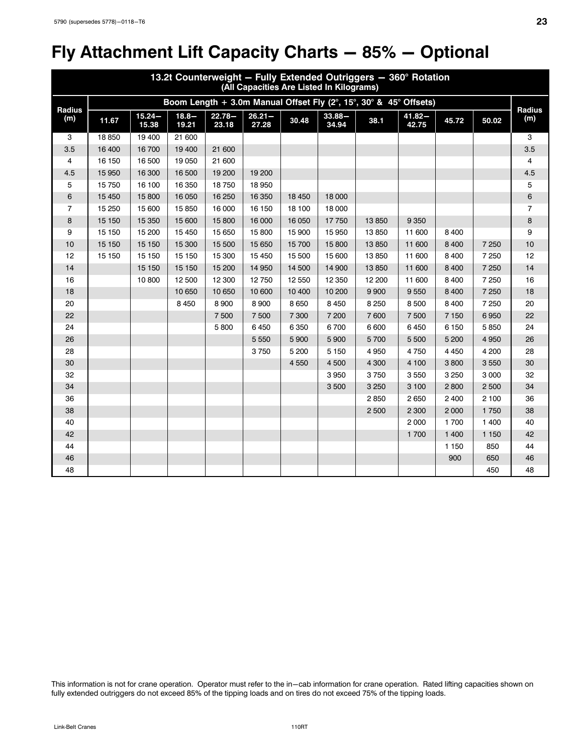# <span id="page-26-0"></span>**Fly Attachment Lift Capacity Charts - 85% - Optional**

| 13.2t Counterweight - Fully Extended Outriggers - 360° Rotation<br>(All Capacities Are Listed In Kilograms) |        |                    |                   |                    |                    |         |                    |                                                                                          |                    |         |         |                      |
|-------------------------------------------------------------------------------------------------------------|--------|--------------------|-------------------|--------------------|--------------------|---------|--------------------|------------------------------------------------------------------------------------------|--------------------|---------|---------|----------------------|
|                                                                                                             |        |                    |                   |                    |                    |         |                    | Boom Length + 3.0m Manual Offset Fly $(2^{\circ}, 15^{\circ}, 30^{\circ}$ & 45° Offsets) |                    |         |         |                      |
| <b>Radius</b><br>(m)                                                                                        | 11.67  | $15.24 -$<br>15.38 | $18.8 -$<br>19.21 | $22.78 -$<br>23.18 | $26.21 -$<br>27.28 | 30.48   | $33.88 -$<br>34.94 | 38.1                                                                                     | $41.82 -$<br>42.75 | 45.72   | 50.02   | <b>Radius</b><br>(m) |
| 3                                                                                                           | 18 850 | 19 400             | 21 600            |                    |                    |         |                    |                                                                                          |                    |         |         | 3                    |
| 3.5                                                                                                         | 16 400 | 16700              | 19 400            | 21 600             |                    |         |                    |                                                                                          |                    |         |         | 3.5                  |
| 4                                                                                                           | 16 150 | 16 500             | 19 050            | 21 600             |                    |         |                    |                                                                                          |                    |         |         | 4                    |
| 4.5                                                                                                         | 15 950 | 16 300             | 16 500            | 19 200             | 19 200             |         |                    |                                                                                          |                    |         |         | 4.5                  |
| 5                                                                                                           | 15750  | 16 100             | 16 350            | 18750              | 18 950             |         |                    |                                                                                          |                    |         |         | 5                    |
| 6                                                                                                           | 15 450 | 15 800             | 16 050            | 16 250             | 16 350             | 18 450  | 18 000             |                                                                                          |                    |         |         | 6                    |
| $\overline{7}$                                                                                              | 15 250 | 15 600             | 15 850            | 16 000             | 16 150             | 18 100  | 18 000             |                                                                                          |                    |         |         | $\overline{7}$       |
| 8                                                                                                           | 15 150 | 15 350             | 15 600            | 15 800             | 16 000             | 16 050  | 17750              | 13850                                                                                    | 9 3 5 0            |         |         | 8                    |
| 9                                                                                                           | 15 150 | 15 200             | 15 450            | 15 650             | 15 800             | 15 900  | 15 950             | 13850                                                                                    | 11 600             | 8 4 0 0 |         | 9                    |
| 10                                                                                                          | 15 150 | 15 150             | 15 300            | 15 500             | 15 650             | 15 700  | 15 800             | 13 850                                                                                   | 11 600             | 8 4 0 0 | 7 2 5 0 | 10                   |
| 12                                                                                                          | 15 150 | 15 150             | 15 150            | 15 300             | 15 450             | 15 500  | 15 600             | 13850                                                                                    | 11 600             | 8 4 0 0 | 7 2 5 0 | 12                   |
| 14                                                                                                          |        | 15 150             | 15 150            | 15 200             | 14 9 50            | 14 500  | 14 900             | 13 850                                                                                   | 11 600             | 8 4 0 0 | 7 2 5 0 | 14                   |
| 16                                                                                                          |        | 10 800             | 12 500            | 12 300             | 12750              | 12 550  | 12 350             | 12 200                                                                                   | 11 600             | 8 4 0 0 | 7 2 5 0 | 16                   |
| 18                                                                                                          |        |                    | 10 650            | 10 650             | 10 600             | 10 400  | 10 200             | 9 9 0 0                                                                                  | 9550               | 8 4 0 0 | 7 2 5 0 | 18                   |
| 20                                                                                                          |        |                    | 8 4 5 0           | 8 9 0 0            | 8 9 0 0            | 8 6 5 0 | 8 4 5 0            | 8 2 5 0                                                                                  | 8 500              | 8 4 0 0 | 7 2 5 0 | 20                   |
| 22                                                                                                          |        |                    |                   | 7 500              | 7 500              | 7 300   | 7 200              | 7600                                                                                     | 7 500              | 7 1 5 0 | 6950    | 22                   |
| 24                                                                                                          |        |                    |                   | 5800               | 6450               | 6 3 5 0 | 6700               | 6 600                                                                                    | 6450               | 6 1 5 0 | 5850    | 24                   |
| 26                                                                                                          |        |                    |                   |                    | 5 5 5 0            | 5 9 0 0 | 5 900              | 5700                                                                                     | 5 500              | 5 200   | 4 9 5 0 | 26                   |
| 28                                                                                                          |        |                    |                   |                    | 3750               | 5 200   | 5 1 5 0            | 4 9 5 0                                                                                  | 4750               | 4 4 5 0 | 4 200   | 28                   |
| 30                                                                                                          |        |                    |                   |                    |                    | 4 5 5 0 | 4 500              | 4 300                                                                                    | 4 100              | 3800    | 3550    | 30                   |
| 32                                                                                                          |        |                    |                   |                    |                    |         | 3 9 5 0            | 3750                                                                                     | 3550               | 3 2 5 0 | 3 0 0 0 | 32                   |
| 34                                                                                                          |        |                    |                   |                    |                    |         | 3 500              | 3 2 5 0                                                                                  | 3 100              | 2800    | 2 500   | 34                   |
| 36                                                                                                          |        |                    |                   |                    |                    |         |                    | 2850                                                                                     | 2650               | 2 4 0 0 | 2 100   | 36                   |
| 38                                                                                                          |        |                    |                   |                    |                    |         |                    | 2 500                                                                                    | 2 3 0 0            | 2000    | 1750    | 38                   |
| 40                                                                                                          |        |                    |                   |                    |                    |         |                    |                                                                                          | 2 0 0 0            | 1700    | 1 400   | 40                   |
| 42                                                                                                          |        |                    |                   |                    |                    |         |                    |                                                                                          | 1 700              | 1 400   | 1 1 5 0 | 42                   |
| 44                                                                                                          |        |                    |                   |                    |                    |         |                    |                                                                                          |                    | 1 1 5 0 | 850     | 44                   |
| 46                                                                                                          |        |                    |                   |                    |                    |         |                    |                                                                                          |                    | 900     | 650     | 46                   |
| 48                                                                                                          |        |                    |                   |                    |                    |         |                    |                                                                                          |                    |         | 450     | 48                   |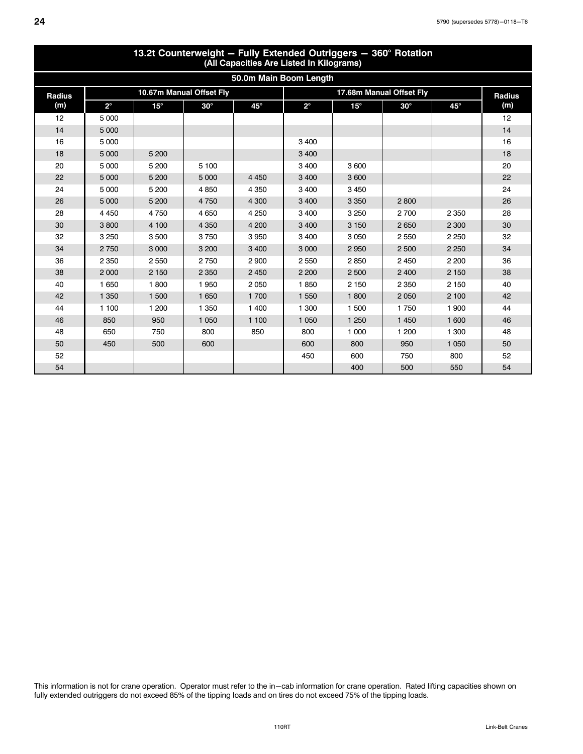<span id="page-27-0"></span>

| (All Capacities Are Listed In Kilograms) |             |            |                          |              |             |            |                          |              |               |  |  |  |  |
|------------------------------------------|-------------|------------|--------------------------|--------------|-------------|------------|--------------------------|--------------|---------------|--|--|--|--|
| 50.0m Main Boom Length                   |             |            |                          |              |             |            |                          |              |               |  |  |  |  |
| <b>Radius</b>                            |             |            | 10.67m Manual Offset Fly |              |             |            | 17.68m Manual Offset Fly |              | <b>Radius</b> |  |  |  |  |
| (m)                                      | $2^{\circ}$ | $15^\circ$ | $30^\circ$               | $45^{\circ}$ | $2^{\circ}$ | $15^\circ$ | $30^\circ$               | $45^{\circ}$ | (m)           |  |  |  |  |
| 12                                       | 5 0 0 0     |            |                          |              |             |            |                          |              | 12            |  |  |  |  |
| 14                                       | 5 0 0 0     |            |                          |              |             |            |                          |              | 14            |  |  |  |  |
| 16                                       | 5 0 0 0     |            |                          |              | 3 400       |            |                          |              | 16            |  |  |  |  |
| 18                                       | 5 0 0 0     | 5 200      |                          |              | 3 4 0 0     |            |                          |              | 18            |  |  |  |  |
| 20                                       | 5 0 0 0     | 5 200      | 5 100                    |              | 3 4 0 0     | 3600       |                          |              | 20            |  |  |  |  |
| 22                                       | 5 0 0 0     | 5 200      | 5 0 0 0                  | 4 4 5 0      | 3 4 0 0     | 3600       |                          |              | 22            |  |  |  |  |
| 24                                       | 5 0 0 0     | 5 200      | 4 8 5 0                  | 4 3 5 0      | 3 4 0 0     | 3 4 5 0    |                          |              | 24            |  |  |  |  |
| 26                                       | 5 0 0 0     | 5 200      | 4750                     | 4 3 0 0      | 3 4 0 0     | 3 3 5 0    | 2800                     |              | 26            |  |  |  |  |
| 28                                       | 4 4 5 0     | 4750       | 4650                     | 4 2 5 0      | 3 400       | 3 2 5 0    | 2700                     | 2 3 5 0      | 28            |  |  |  |  |
| 30                                       | 3800        | 4 100      | 4 3 5 0                  | 4 200        | 3 4 0 0     | 3 1 5 0    | 2650                     | 2 3 0 0      | 30            |  |  |  |  |
| 32                                       | 3 2 5 0     | 3500       | 3750                     | 3950         | 3 400       | 3 0 5 0    | 2 5 5 0                  | 2 2 5 0      | 32            |  |  |  |  |
| 34                                       | 2750        | 3 0 0 0    | 3 200                    | 3 4 0 0      | 3 0 0 0     | 2950       | 2 500                    | 2 2 5 0      | 34            |  |  |  |  |
| 36                                       | 2 3 5 0     | 2 5 5 0    | 2750                     | 2 9 0 0      | 2 5 5 0     | 2850       | 2 4 5 0                  | 2 2 0 0      | 36            |  |  |  |  |
| 38                                       | 2000        | 2 1 5 0    | 2 3 5 0                  | 2 4 5 0      | 2 2 0 0     | 2500       | 2 4 0 0                  | 2 1 5 0      | 38            |  |  |  |  |
| 40                                       | 1 650       | 1800       | 1950                     | 2050         | 1850        | 2 1 5 0    | 2 3 5 0                  | 2 1 5 0      | 40            |  |  |  |  |
| 42                                       | 1 3 5 0     | 1 500      | 1 650                    | 1700         | 1 550       | 1800       | 2 0 5 0                  | 2 100        | 42            |  |  |  |  |
| 44                                       | 1 100       | 1 200      | 1 350                    | 1 400        | 1 300       | 1500       | 1750                     | 1 900        | 44            |  |  |  |  |
| 46                                       | 850         | 950        | 1 0 5 0                  | 1 100        | 1 0 5 0     | 1 2 5 0    | 1 4 5 0                  | 1 600        | 46            |  |  |  |  |
| 48                                       | 650         | 750        | 800                      | 850          | 800         | 1 0 0 0    | 1 200                    | 1 300        | 48            |  |  |  |  |
| 50                                       | 450         | 500        | 600                      |              | 600         | 800        | 950                      | 1 0 5 0      | 50            |  |  |  |  |
| 52                                       |             |            |                          |              | 450         | 600        | 750                      | 800          | 52            |  |  |  |  |
| 54                                       |             |            |                          |              |             | 400        | 500                      | 550          | 54            |  |  |  |  |

# 13.2t Counterweight - Fully Extended Outriggers - 360° Rotation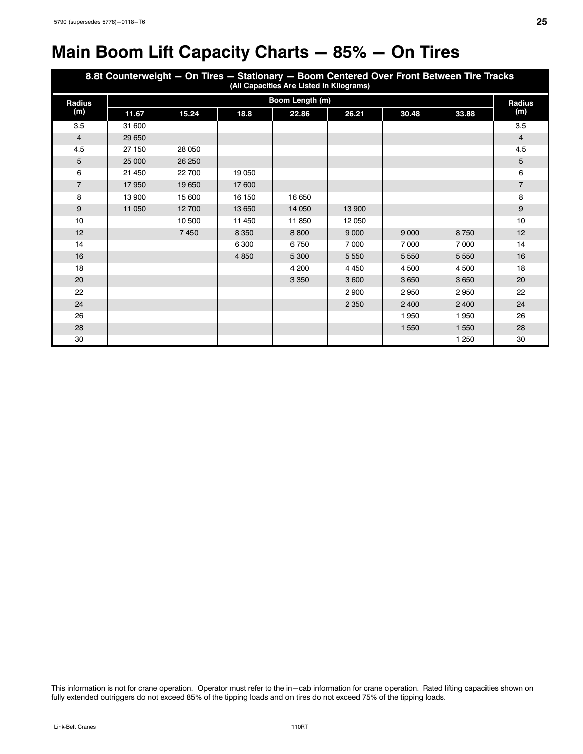<span id="page-28-0"></span>

| 8.8t Counterweight - On Tires - Stationary - Boom Centered Over Front Between Tire Tracks<br>(All Capacities Are Listed In Kilograms) |        |        |         |                 |         |         |         |                |  |  |  |
|---------------------------------------------------------------------------------------------------------------------------------------|--------|--------|---------|-----------------|---------|---------|---------|----------------|--|--|--|
| <b>Radius</b>                                                                                                                         |        |        |         | Boom Length (m) |         |         |         | <b>Radius</b>  |  |  |  |
| (m)                                                                                                                                   | 11.67  | 15.24  | 18.8    | 22.86           | 26.21   | 30.48   | 33.88   | (m)            |  |  |  |
| 3.5                                                                                                                                   | 31 600 |        |         |                 |         |         |         | 3.5            |  |  |  |
| 4                                                                                                                                     | 29 650 |        |         |                 |         |         |         | $\overline{4}$ |  |  |  |
| 4.5                                                                                                                                   | 27 150 | 28 050 |         |                 |         |         |         | 4.5            |  |  |  |
| 5                                                                                                                                     | 25 000 | 26 250 |         |                 |         |         |         | 5              |  |  |  |
| 6                                                                                                                                     | 21 450 | 22 700 | 19 0 50 |                 |         |         |         | 6              |  |  |  |
| $\overline{7}$                                                                                                                        | 17950  | 19650  | 17 600  |                 |         |         |         | $\overline{7}$ |  |  |  |
| 8                                                                                                                                     | 13 900 | 15 600 | 16 150  | 16 650          |         |         |         | 8              |  |  |  |
| 9                                                                                                                                     | 11 050 | 12700  | 13 650  | 14 050          | 13 900  |         |         | 9              |  |  |  |
| 10                                                                                                                                    |        | 10 500 | 11 450  | 11 850          | 12050   |         |         | 10             |  |  |  |
| 12                                                                                                                                    |        | 7450   | 8 3 5 0 | 8800            | 9 0 0 0 | 9 0 0 0 | 8750    | 12             |  |  |  |
| 14                                                                                                                                    |        |        | 6 300   | 6750            | 7000    | 7 0 0 0 | 7000    | 14             |  |  |  |
| 16                                                                                                                                    |        |        | 4 8 5 0 | 5 3 0 0         | 5 5 5 0 | 5 5 5 0 | 5 5 5 0 | 16             |  |  |  |
| 18                                                                                                                                    |        |        |         | 4 200           | 4 4 5 0 | 4 500   | 4500    | 18             |  |  |  |
| 20                                                                                                                                    |        |        |         | 3 3 5 0         | 3600    | 3 6 5 0 | 3650    | 20             |  |  |  |
| 22                                                                                                                                    |        |        |         |                 | 2900    | 2950    | 2950    | 22             |  |  |  |
| 24                                                                                                                                    |        |        |         |                 | 2 3 5 0 | 2 4 0 0 | 2 4 0 0 | 24             |  |  |  |
| 26                                                                                                                                    |        |        |         |                 |         | 1950    | 1950    | 26             |  |  |  |
| 28                                                                                                                                    |        |        |         |                 |         | 1 5 5 0 | 1 5 5 0 | 28             |  |  |  |
| 30                                                                                                                                    |        |        |         |                 |         |         | 1 2 5 0 | 30             |  |  |  |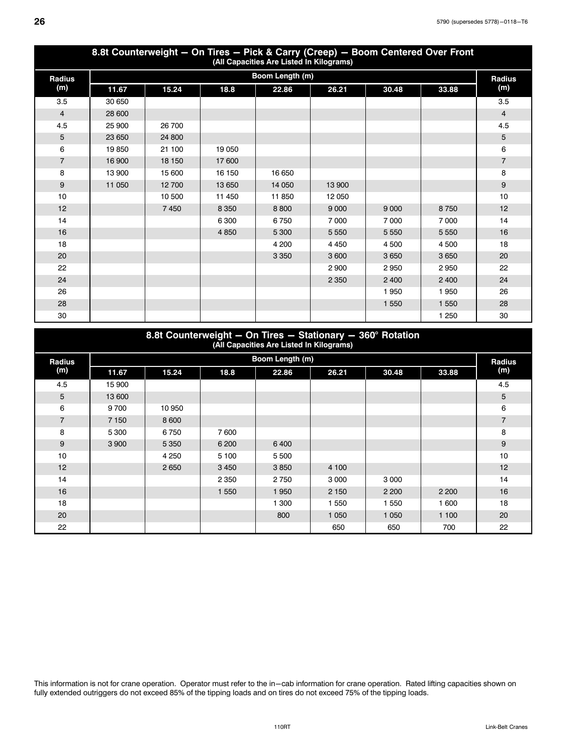<span id="page-29-0"></span>

| 8.8t Counterweight - On Tires - Pick & Carry (Creep) - Boom Centered Over Front<br>(All Capacities Are Listed In Kilograms) |        |        |         |                 |         |         |         |                |  |  |  |
|-----------------------------------------------------------------------------------------------------------------------------|--------|--------|---------|-----------------|---------|---------|---------|----------------|--|--|--|
| <b>Radius</b>                                                                                                               |        |        |         | Boom Length (m) |         |         |         | <b>Radius</b>  |  |  |  |
| (m)                                                                                                                         | 11.67  | 15.24  | 18.8    | 22.86           | 26.21   | 30.48   | 33.88   | (m)            |  |  |  |
| 3.5                                                                                                                         | 30 650 |        |         |                 |         |         |         | 3.5            |  |  |  |
| $\overline{4}$                                                                                                              | 28 600 |        |         |                 |         |         |         | $\overline{4}$ |  |  |  |
| 4.5                                                                                                                         | 25 900 | 26 700 |         |                 |         |         |         | 4.5            |  |  |  |
| 5                                                                                                                           | 23 650 | 24 800 |         |                 |         |         |         | 5              |  |  |  |
| 6                                                                                                                           | 19850  | 21 100 | 19 0 50 |                 |         |         |         | 6              |  |  |  |
| $\overline{7}$                                                                                                              | 16 900 | 18 150 | 17 600  |                 |         |         |         | $\overline{7}$ |  |  |  |
| 8                                                                                                                           | 13 900 | 15 600 | 16 150  | 16 650          |         |         |         | 8              |  |  |  |
| 9                                                                                                                           | 11 050 | 12700  | 13 650  | 14 0 50         | 13 900  |         |         | 9              |  |  |  |
| 10                                                                                                                          |        | 10 500 | 11 450  | 11 850          | 12050   |         |         | 10             |  |  |  |
| 12                                                                                                                          |        | 7450   | 8 3 5 0 | 8800            | 9 0 0 0 | 9 0 0 0 | 8750    | 12             |  |  |  |
| 14                                                                                                                          |        |        | 6 300   | 6750            | 7000    | 7 0 0 0 | 7 0 0 0 | 14             |  |  |  |
| 16                                                                                                                          |        |        | 4 8 5 0 | 5 3 0 0         | 5 5 5 0 | 5 5 5 0 | 5 5 5 0 | 16             |  |  |  |
| 18                                                                                                                          |        |        |         | 4 200           | 4 4 5 0 | 4 500   | 4500    | 18             |  |  |  |
| 20                                                                                                                          |        |        |         | 3 3 5 0         | 3600    | 3650    | 3650    | 20             |  |  |  |
| 22                                                                                                                          |        |        |         |                 | 2900    | 2950    | 2950    | 22             |  |  |  |
| 24                                                                                                                          |        |        |         |                 | 2 3 5 0 | 2 4 0 0 | 2 4 0 0 | 24             |  |  |  |
| 26                                                                                                                          |        |        |         |                 |         | 1 9 5 0 | 1950    | 26             |  |  |  |
| 28                                                                                                                          |        |        |         |                 |         | 1 5 5 0 | 1 5 5 0 | 28             |  |  |  |
| 30                                                                                                                          |        |        |         |                 |         |         | 1 2 5 0 | 30             |  |  |  |

| 8.8t Counterweight - On Tires - Stationary - 360° Rotation<br>(All Capacities Are Listed In Kilograms) |         |         |         |                 |         |         |         |               |  |  |  |
|--------------------------------------------------------------------------------------------------------|---------|---------|---------|-----------------|---------|---------|---------|---------------|--|--|--|
| <b>Radius</b>                                                                                          |         |         |         | Boom Length (m) |         |         |         | <b>Radius</b> |  |  |  |
| (m)                                                                                                    | 11.67   | 15.24   | 18.8    | 22.86           | 26.21   | 30.48   | 33.88   | (m)           |  |  |  |
| 4.5                                                                                                    | 15 900  |         |         |                 |         |         |         | 4.5           |  |  |  |
| 5                                                                                                      | 13 600  |         |         |                 |         |         |         | 5             |  |  |  |
| 6                                                                                                      | 9700    | 10 950  |         |                 |         |         |         | 6             |  |  |  |
| $\overline{7}$                                                                                         | 7 1 5 0 | 8 6 0 0 |         |                 |         |         |         | 7             |  |  |  |
| 8                                                                                                      | 5 3 0 0 | 6750    | 7600    |                 |         |         |         | 8             |  |  |  |
| 9                                                                                                      | 3 9 0 0 | 5 3 5 0 | 6 200   | 6400            |         |         |         | 9             |  |  |  |
| 10                                                                                                     |         | 4 2 5 0 | 5 100   | 5 5 0 0         |         |         |         | 10            |  |  |  |
| 12                                                                                                     |         | 2650    | 3 4 5 0 | 3850            | 4 100   |         |         | 12            |  |  |  |
| 14                                                                                                     |         |         | 2 3 5 0 | 2750            | 3 0 0 0 | 3 0 0 0 |         | 14            |  |  |  |
| 16                                                                                                     |         |         | 1 5 5 0 | 1950            | 2 1 5 0 | 2 2 0 0 | 2 2 0 0 | 16            |  |  |  |
| 18                                                                                                     |         |         |         | 300             | 1550    | 1 5 5 0 | 1 600   | 18            |  |  |  |
| 20                                                                                                     |         |         |         | 800             | 1 0 5 0 | 1 0 5 0 | 1 100   | 20            |  |  |  |
| 22                                                                                                     |         |         |         |                 | 650     | 650     | 700     | 22            |  |  |  |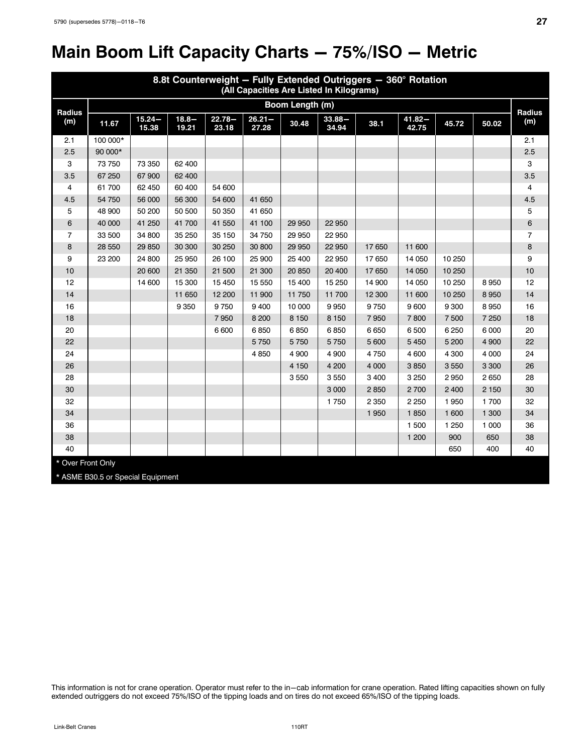# <span id="page-30-0"></span>**Main Boom Lift Capacity Charts - 75%/ISO - Metric**

| 8.8t Counterweight - Fully Extended Outriggers - 360° Rotation<br>(All Capacities Are Listed In Kilograms) |                                   |                    |                   |                    |                    |                 |                    |         |                    |         |         |                      |  |
|------------------------------------------------------------------------------------------------------------|-----------------------------------|--------------------|-------------------|--------------------|--------------------|-----------------|--------------------|---------|--------------------|---------|---------|----------------------|--|
|                                                                                                            |                                   |                    |                   |                    |                    | Boom Length (m) |                    |         |                    |         |         |                      |  |
| <b>Radius</b><br>(m)                                                                                       | 11.67                             | $15.24 -$<br>15.38 | $18.8 -$<br>19.21 | $22.78 -$<br>23.18 | $26.21 -$<br>27.28 | 30.48           | $33.88 -$<br>34.94 | 38.1    | $41.82 -$<br>42.75 | 45.72   | 50.02   | <b>Radius</b><br>(m) |  |
| 2.1                                                                                                        | 100 000*                          |                    |                   |                    |                    |                 |                    |         |                    |         |         | 2.1                  |  |
| 2.5                                                                                                        | 90 000*                           |                    |                   |                    |                    |                 |                    |         |                    |         |         | 2.5                  |  |
| 3                                                                                                          | 73 750                            | 73 350             | 62 400            |                    |                    |                 |                    |         |                    |         |         | 3                    |  |
| 3.5                                                                                                        | 67 250                            | 67 900             | 62 400            |                    |                    |                 |                    |         |                    |         |         | 3.5                  |  |
| 4                                                                                                          | 61 700                            | 62 450             | 60 400            | 54 600             |                    |                 |                    |         |                    |         |         | 4                    |  |
| 4.5                                                                                                        | 54 750                            | 56 000             | 56 300            | 54 600             | 41 650             |                 |                    |         |                    |         |         | 4.5                  |  |
| 5                                                                                                          | 48 900                            | 50 200             | 50 500            | 50 350             | 41 650             |                 |                    |         |                    |         |         | 5                    |  |
| 6<br>40 000<br>41 250<br>41 100<br>22 950<br>6<br>41 700<br>41 550<br>29 950                               |                                   |                    |                   |                    |                    |                 |                    |         |                    |         |         |                      |  |
| $\overline{7}$                                                                                             | 33 500                            | 34 800             | 35 250            | 35 150             | 34 750             | 29 950          | 22 950             |         |                    |         |         | $\overline{7}$       |  |
| 8                                                                                                          | 28 550                            | 29 850             | 30 300            | 30 250             | 30 800             | 29 950          | 22 950             | 17 650  | 11 600             |         |         | 8                    |  |
| 9                                                                                                          | 23 200                            | 24 800             | 25 950            | 26 100             | 25 900             | 25 400          | 22 950             | 17 650  | 14 050             | 10 250  |         | 9                    |  |
| 10                                                                                                         |                                   | 20 600             | 21 350            | 21 500             | 21 300             | 20 850          | 20 400             | 17 650  | 14 0 50            | 10 250  |         | 10                   |  |
| 12                                                                                                         |                                   | 14 600             | 15 300            | 15 450             | 15 550             | 15 400          | 15 250             | 14 900  | 14 050             | 10 250  | 8950    | 12                   |  |
| 14                                                                                                         |                                   |                    | 11 650            | 12 200             | 11 900             | 11 750          | 11 700             | 12 300  | 11 600             | 10 250  | 8950    | 14                   |  |
| 16                                                                                                         |                                   |                    | 9 3 5 0           | 9750               | 9 4 0 0            | 10 000          | 9950               | 9750    | 9600               | 9 3 0 0 | 8950    | 16                   |  |
| 18                                                                                                         |                                   |                    |                   | 7950               | 8 2 0 0            | 8 1 5 0         | 8 1 5 0            | 7950    | 7800               | 7500    | 7 2 5 0 | 18                   |  |
| 20                                                                                                         |                                   |                    |                   | 6 600              | 6850               | 6850            | 6850               | 6650    | 6 500              | 6 2 5 0 | 6000    | 20                   |  |
| 22                                                                                                         |                                   |                    |                   |                    | 5750               | 5750            | 5750               | 5 600   | 5 4 5 0            | 5 200   | 4 9 0 0 | 22                   |  |
| 24                                                                                                         |                                   |                    |                   |                    | 4850               | 4 9 0 0         | 4 9 0 0            | 4750    | 4 600              | 4 300   | 4 0 0 0 | 24                   |  |
| 26                                                                                                         |                                   |                    |                   |                    |                    | 4 1 5 0         | 4 200              | 4 0 0 0 | 3850               | 3550    | 3 3 0 0 | 26                   |  |
| 28                                                                                                         |                                   |                    |                   |                    |                    | 3550            | 3550               | 3 4 0 0 | 3 2 5 0            | 2950    | 2650    | 28                   |  |
| 30                                                                                                         |                                   |                    |                   |                    |                    |                 | 3 0 0 0            | 2850    | 2700               | 2 4 0 0 | 2 1 5 0 | 30                   |  |
| 32                                                                                                         |                                   |                    |                   |                    |                    |                 | 1750               | 2 3 5 0 | 2 2 5 0            | 1950    | 1700    | 32                   |  |
| 34                                                                                                         |                                   |                    |                   |                    |                    |                 |                    | 1 9 5 0 | 1850               | 1 600   | 1 300   | 34                   |  |
| 36                                                                                                         |                                   |                    |                   |                    |                    |                 |                    |         | 1 500              | 1 2 5 0 | 1 000   | 36                   |  |
| 38                                                                                                         |                                   |                    |                   |                    |                    |                 |                    |         | 1 200              | 900     | 650     | 38                   |  |
| 40                                                                                                         |                                   |                    |                   |                    |                    |                 |                    |         |                    | 650     | 400     | 40                   |  |
| * Over Front Only                                                                                          |                                   |                    |                   |                    |                    |                 |                    |         |                    |         |         |                      |  |
|                                                                                                            | * ASME B30.5 or Special Equipment |                    |                   |                    |                    |                 |                    |         |                    |         |         |                      |  |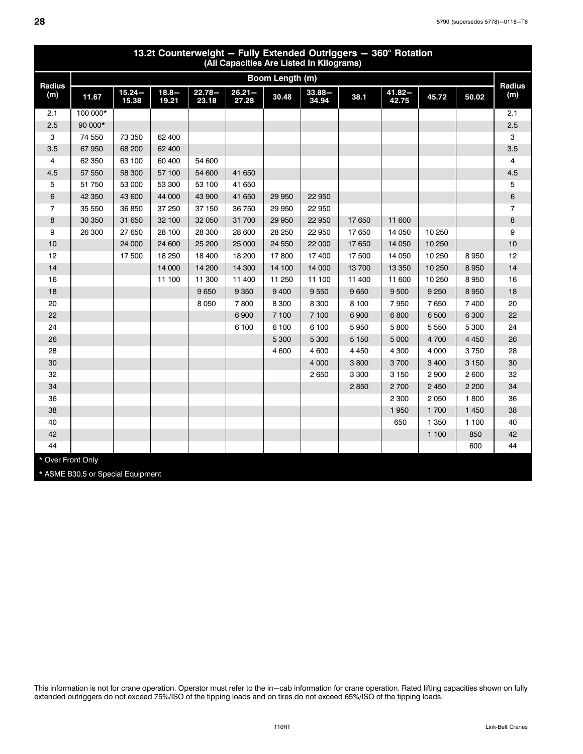<span id="page-31-0"></span>

| 13.2t Counterweight - Fully Extended Outriggers - 360° Rotation<br>(All Capacities Are Listed In Kilograms) |                                   |                    |                   |                    |                    |                 |                    |         |                    |         |         |                      |
|-------------------------------------------------------------------------------------------------------------|-----------------------------------|--------------------|-------------------|--------------------|--------------------|-----------------|--------------------|---------|--------------------|---------|---------|----------------------|
|                                                                                                             |                                   |                    |                   |                    |                    | Boom Length (m) |                    |         |                    |         |         |                      |
| <b>Radius</b><br>(m)                                                                                        | 11.67                             | $15.24 -$<br>15.38 | $18.8 -$<br>19.21 | $22.78 -$<br>23.18 | $26.21 -$<br>27.28 | 30.48           | $33.88 -$<br>34.94 | 38.1    | $41.82 -$<br>42.75 | 45.72   | 50.02   | <b>Radius</b><br>(m) |
| 2.1                                                                                                         | 100 000*                          |                    |                   |                    |                    |                 |                    |         |                    |         |         | 2.1                  |
| 2.5                                                                                                         | 90 000*                           |                    |                   |                    |                    |                 |                    |         |                    |         |         | 2.5                  |
| 3                                                                                                           | 74 550                            | 73 350             | 62 400            |                    |                    |                 |                    |         |                    |         |         | 3                    |
| 3.5                                                                                                         | 67 950                            | 68 200             | 62 400            |                    |                    |                 |                    |         |                    |         |         | 3.5                  |
| 4                                                                                                           | 62 350                            | 63 100             | 60 400            | 54 600             |                    |                 |                    |         |                    |         |         | 4                    |
| 4.5                                                                                                         | 57 550                            | 58 300             | 57 100            | 54 600             | 41 650             |                 |                    |         |                    |         |         | 4.5                  |
| 5                                                                                                           | 51 750                            | 53 000             | 53 300            | 53 100             | 41 650             |                 |                    |         |                    |         |         | 5                    |
| 6                                                                                                           | 42 350                            | 43 600             | 44 000            | 43 900             | 41 650             | 29 950          | 22 950             |         |                    |         |         | 6                    |
| 7                                                                                                           | 35 550                            | 36 850             | 37 250            | 37 150             | 36 750             | 29 950          | 22 950             |         |                    |         |         | $\overline{7}$       |
| 8                                                                                                           | 30 350                            | 31 650             | 32 100            | 32 050             | 31 700             | 29 950          | 22 950             | 17 650  | 11 600             |         |         | 8                    |
| 9                                                                                                           | 26 300                            | 27 650             | 28 100            | 28 300             | 28 600             | 28 250          | 22 950             | 17 650  | 14 050             | 10 250  |         | 9                    |
| 10                                                                                                          |                                   | 24 000             | 24 600            | 25 200             | 25 000             | 24 550          | 22 000             | 17 650  | 14 050             | 10 250  |         | 10                   |
| 12                                                                                                          |                                   | 17 500             | 18 250            | 18 400             | 18 200             | 17800           | 17 400             | 17 500  | 14 050             | 10 250  | 8950    | 12                   |
| 14                                                                                                          |                                   |                    | 14 000            | 14 200             | 14 300             | 14 100          | 14 000             | 13700   | 13 350             | 10 250  | 8950    | 14                   |
| 16                                                                                                          |                                   |                    | 11 100            | 11 300             | 11 400             | 11 250          | 11 100             | 11 400  | 11 600             | 10 250  | 8950    | 16                   |
| 18                                                                                                          |                                   |                    |                   | 9650               | 9 3 5 0            | 9 4 0 0         | 9550               | 9650    | 9500               | 9 2 5 0 | 8950    | 18                   |
| 20                                                                                                          |                                   |                    |                   | 8 0 5 0            | 7800               | 8 3 0 0         | 8 3 0 0            | 8 100   | 7950               | 7650    | 7400    | 20                   |
| 22                                                                                                          |                                   |                    |                   |                    | 6900               | 7 100           | 7 100              | 6900    | 6800               | 6500    | 6 300   | 22                   |
| 24                                                                                                          |                                   |                    |                   |                    | 6 100              | 6 100           | 6 100              | 5950    | 5800               | 5 5 5 0 | 5 300   | 24                   |
| 26                                                                                                          |                                   |                    |                   |                    |                    | 5 300           | 5 300              | 5 1 5 0 | 5 0 0 0            | 4700    | 4 4 5 0 | 26                   |
| 28                                                                                                          |                                   |                    |                   |                    |                    | 4 600           | 4 600              | 4 4 5 0 | 4 300              | 4 0 0 0 | 3750    | 28                   |
| 30                                                                                                          |                                   |                    |                   |                    |                    |                 | 4 0 0 0            | 3800    | 3700               | 3 4 0 0 | 3 1 5 0 | 30                   |
| 32                                                                                                          |                                   |                    |                   |                    |                    |                 | 2650               | 3 3 0 0 | 3 1 5 0            | 2900    | 2600    | 32                   |
| 34                                                                                                          |                                   |                    |                   |                    |                    |                 |                    | 2850    | 2700               | 2 4 5 0 | 2 2 0 0 | 34                   |
| 36                                                                                                          |                                   |                    |                   |                    |                    |                 |                    |         | 2 3 0 0            | 2050    | 1800    | 36                   |
| 38                                                                                                          |                                   |                    |                   |                    |                    |                 |                    |         | 1 9 5 0            | 1700    | 1 4 5 0 | 38                   |
| 40                                                                                                          |                                   |                    |                   |                    |                    |                 |                    |         | 650                | 1 3 5 0 | 1 100   | 40                   |
| 42                                                                                                          |                                   |                    |                   |                    |                    |                 |                    |         |                    | 1 100   | 850     | 42                   |
| 44                                                                                                          |                                   |                    |                   |                    |                    |                 |                    |         |                    |         | 600     | 44                   |
| * Over Front Only                                                                                           |                                   |                    |                   |                    |                    |                 |                    |         |                    |         |         |                      |
|                                                                                                             | * ASME B30.5 or Special Equipment |                    |                   |                    |                    |                 |                    |         |                    |         |         |                      |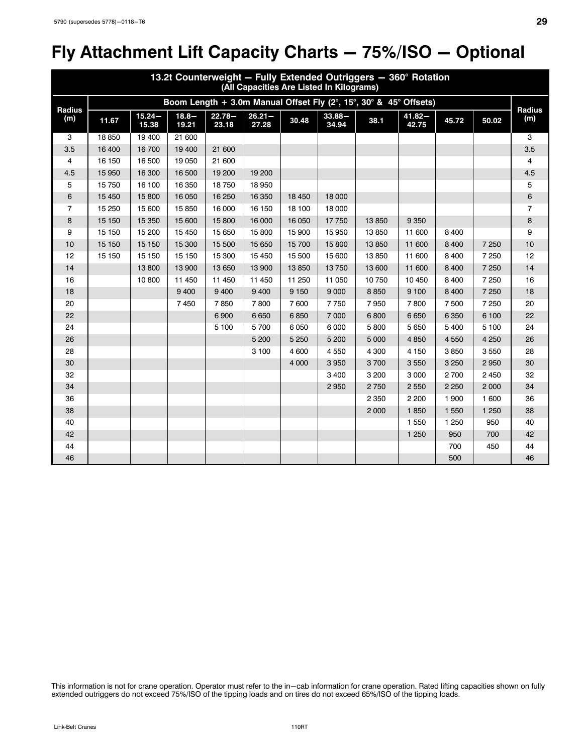# <span id="page-32-0"></span>Fly Attachment Lift Capacity Charts - 75%/ISO - Optional

| 13.2t Counterweight - Fully Extended Outriggers - 360° Rotation<br>(All Capacities Are Listed In Kilograms) |         |                                                                   |                   |                    |                    |         |                    |         |                    |         |         |                      |  |
|-------------------------------------------------------------------------------------------------------------|---------|-------------------------------------------------------------------|-------------------|--------------------|--------------------|---------|--------------------|---------|--------------------|---------|---------|----------------------|--|
|                                                                                                             |         | Boom Length + 3.0m Manual Offset Fly (2°, 15°, 30° & 45° Offsets) |                   |                    |                    |         |                    |         |                    |         |         |                      |  |
| <b>Radius</b><br>(m)                                                                                        | 11.67   | $15.24 -$<br>15.38                                                | $18.8 -$<br>19.21 | $22.78 -$<br>23.18 | $26.21 -$<br>27.28 | 30.48   | $33.88 -$<br>34.94 | 38.1    | $41.82 -$<br>42.75 | 45.72   | 50.02   | <b>Radius</b><br>(m) |  |
| 3                                                                                                           | 18850   | 19 400                                                            | 21 600            |                    |                    |         |                    |         |                    |         |         | 3                    |  |
| 3.5                                                                                                         | 16 400  | 16700                                                             | 19 400            | 21 600             |                    |         |                    |         |                    |         |         | 3.5                  |  |
| 4                                                                                                           | 16 150  | 16 500                                                            | 19 050            | 21 600             |                    |         |                    |         |                    |         |         | 4                    |  |
| 4.5                                                                                                         | 15 950  | 16 300                                                            | 16 500            | 19 200             | 19 200             |         |                    |         |                    |         |         | 4.5                  |  |
| 5                                                                                                           | 15 750  | 16 100                                                            | 16 350            | 18750              | 18 950             |         |                    |         |                    |         |         | 5                    |  |
| 6                                                                                                           | 15 4 50 | 15 800                                                            | 16 050            | 16 250             | 16 350             | 18 450  | 18 000             |         |                    |         |         | 6                    |  |
| $\overline{7}$                                                                                              | 15 250  | 15 600                                                            | 15 850            | 16 000             | 16 150             | 18 100  | 18 000             |         |                    |         |         | $\overline{7}$       |  |
| 8                                                                                                           | 15 150  | 15 350                                                            | 15 600            | 15 800             | 16 000             | 16 050  | 17750              | 13850   | 9 3 5 0            |         |         | 8                    |  |
| 9                                                                                                           | 15 150  | 15 200                                                            | 15 4 50           | 15 650             | 15 800             | 15 900  | 15 950             | 13850   | 11 600             | 8400    |         | 9                    |  |
| 10                                                                                                          | 15 150  | 15 150                                                            | 15 300            | 15 500             | 15 650             | 15 700  | 15 800             | 13850   | 11 600             | 8 4 0 0 | 7 2 5 0 | 10                   |  |
| 12                                                                                                          | 15 150  | 15 150                                                            | 15 150            | 15 300             | 15 450             | 15 500  | 15 600             | 13850   | 11 600             | 8 4 0 0 | 7 2 5 0 | 12                   |  |
| 14                                                                                                          |         | 13 800                                                            | 13 900            | 13 650             | 13 900             | 13 850  | 13750              | 13 600  | 11 600             | 8 4 0 0 | 7 2 5 0 | 14                   |  |
| 16                                                                                                          |         | 10 800                                                            | 11 450            | 11 450             | 11 450             | 11 250  | 11 050             | 10750   | 10 450             | 8 4 0 0 | 7 2 5 0 | 16                   |  |
| 18                                                                                                          |         |                                                                   | 9 4 0 0           | 9 4 0 0            | 9 4 0 0            | 9 1 5 0 | 9 0 0 0            | 8850    | 9 100              | 8 4 0 0 | 7 2 5 0 | 18                   |  |
| 20                                                                                                          |         |                                                                   | 7450              | 7850               | 7800               | 7600    | 7750               | 7950    | 7800               | 7500    | 7 2 5 0 | 20                   |  |
| 22                                                                                                          |         |                                                                   |                   | 6900               | 6650               | 6850    | 7 0 0 0            | 6 800   | 6 6 5 0            | 6 3 5 0 | 6 100   | 22                   |  |
| 24                                                                                                          |         |                                                                   |                   | 5 100              | 5700               | 6 0 5 0 | 6 0 0 0            | 5800    | 5 6 5 0            | 5 4 0 0 | 5 100   | 24                   |  |
| 26                                                                                                          |         |                                                                   |                   |                    | 5 200              | 5 2 5 0 | 5 200              | 5 0 0 0 | 4 8 5 0            | 4 5 5 0 | 4 2 5 0 | 26                   |  |
| 28                                                                                                          |         |                                                                   |                   |                    | 3 100              | 4 600   | 4 5 5 0            | 4 3 0 0 | 4 1 5 0            | 3850    | 3550    | 28                   |  |
| 30                                                                                                          |         |                                                                   |                   |                    |                    | 4 0 0 0 | 3 9 5 0            | 3700    | 3 5 5 0            | 3 2 5 0 | 2950    | 30                   |  |
| 32                                                                                                          |         |                                                                   |                   |                    |                    |         | 3 4 0 0            | 3 200   | 3 0 0 0            | 2700    | 2 4 5 0 | 32                   |  |
| 34                                                                                                          |         |                                                                   |                   |                    |                    |         | 2 9 5 0            | 2750    | 2 5 5 0            | 2 2 5 0 | 2 0 0 0 | 34                   |  |
| 36                                                                                                          |         |                                                                   |                   |                    |                    |         |                    | 2 3 5 0 | 2 2 0 0            | 1 900   | 1 600   | 36                   |  |
| 38                                                                                                          |         |                                                                   |                   |                    |                    |         |                    | 2 0 0 0 | 1850               | 1 5 5 0 | 1 2 5 0 | 38                   |  |
| 40                                                                                                          |         |                                                                   |                   |                    |                    |         |                    |         | 1 5 5 0            | 1 2 5 0 | 950     | 40                   |  |
| 42                                                                                                          |         |                                                                   |                   |                    |                    |         |                    |         | 1 2 5 0            | 950     | 700     | 42                   |  |
| 44                                                                                                          |         |                                                                   |                   |                    |                    |         |                    |         |                    | 700     | 450     | 44                   |  |
| 46                                                                                                          |         |                                                                   |                   |                    |                    |         |                    |         |                    | 500     |         | 46                   |  |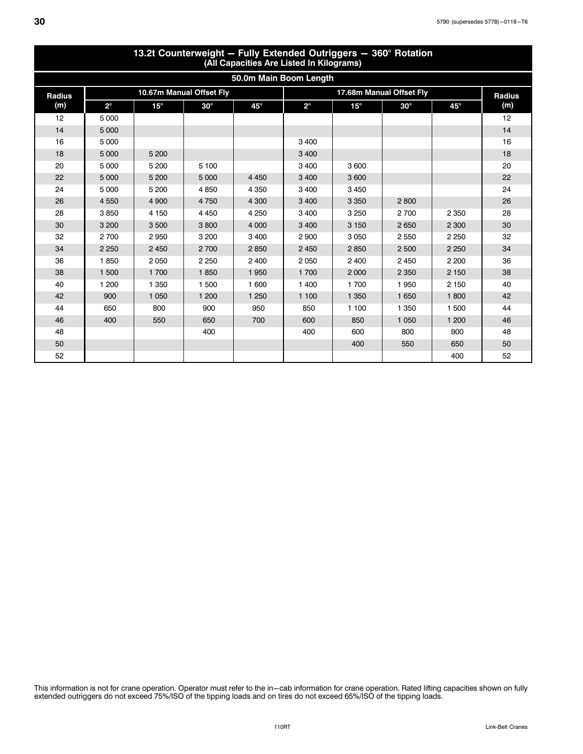<span id="page-33-0"></span>

| (All Capacities Are Listed In Kilograms) |             |            |                          |                        |             |            |                          |              |               |  |  |
|------------------------------------------|-------------|------------|--------------------------|------------------------|-------------|------------|--------------------------|--------------|---------------|--|--|
|                                          |             |            |                          | 50.0m Main Boom Length |             |            |                          |              |               |  |  |
| <b>Radius</b><br>(m)                     |             |            | 10.67m Manual Offset Fly |                        |             |            | 17.68m Manual Offset Fly |              | <b>Radius</b> |  |  |
|                                          | $2^{\circ}$ | $15^\circ$ | $30^\circ$               | $45^{\circ}$           | $2^{\circ}$ | $15^\circ$ | $30^\circ$               | $45^{\circ}$ | (m)           |  |  |
| 12                                       | 5 0 0 0     |            |                          |                        |             |            |                          |              | 12            |  |  |
| 14                                       | 5 0 0 0     |            |                          |                        |             |            |                          |              | 14            |  |  |
| 16                                       | 5 0 0 0     |            |                          |                        | 3 4 0 0     |            |                          |              | 16            |  |  |
| 18                                       | 5 0 0 0     | 5 200      |                          |                        | 3 4 0 0     |            |                          |              | 18            |  |  |
| 20                                       | 5 0 0 0     | 5 200      | 5 100                    |                        | 3 4 0 0     | 3600       |                          |              | 20            |  |  |
| 22                                       | 5 0 0 0     | 5 200      | 5 0 0 0                  | 4 4 5 0                | 3 400       | 3600       |                          |              | 22            |  |  |
| 24                                       | 5 0 0 0     | 5 200      | 4850                     | 4 3 5 0                | 3 400       | 3450       |                          |              | 24            |  |  |
| 26                                       | 4550        | 4 9 0 0    | 4750                     | 4 3 0 0                | 3 400       | 3 3 5 0    | 2800                     |              | 26            |  |  |
| 28                                       | 3850        | 4 1 5 0    | 4 4 5 0                  | 4 2 5 0                | 3 400       | 3 2 5 0    | 2700                     | 2 3 5 0      | 28            |  |  |
| 30                                       | 3 2 0 0     | 3500       | 3800                     | 4 0 0 0                | 3 4 0 0     | 3 1 5 0    | 2650                     | 2 3 0 0      | 30            |  |  |
| 32                                       | 2700        | 2950       | 3 200                    | 3 4 0 0                | 2 9 0 0     | 3 0 5 0    | 2 5 5 0                  | 2 2 5 0      | 32            |  |  |
| 34                                       | 2 2 5 0     | 2 4 5 0    | 2700                     | 2850                   | 2 4 5 0     | 2850       | 2 500                    | 2 2 5 0      | 34            |  |  |
| 36                                       | 1850        | 2050       | 2 2 5 0                  | 2 4 0 0                | 2050        | 2400       | 2 4 5 0                  | 2 2 0 0      | 36            |  |  |
| 38                                       | 1 500       | 1 700      | 1850                     | 1950                   | 1 700       | 2000       | 2 3 5 0                  | 2 1 5 0      | 38            |  |  |
| 40                                       | 1 200       | 1 3 5 0    | 1 500                    | 1 600                  | 1 400       | 1700       | 1950                     | 2 1 5 0      | 40            |  |  |
| 42                                       | 900         | 1 0 5 0    | 1 200                    | 1 2 5 0                | 1 100       | 1 3 5 0    | 1 650                    | 1800         | 42            |  |  |
| 44                                       | 650         | 800        | 900                      | 950                    | 850         | 1 100      | 1 3 5 0                  | 1 500        | 44            |  |  |
| 46                                       | 400         | 550        | 650                      | 700                    | 600         | 850        | 1 0 5 0                  | 1 200        | 46            |  |  |
| 48                                       |             |            | 400                      |                        | 400         | 600        | 800                      | 900          | 48            |  |  |
| 50                                       |             |            |                          |                        |             | 400        | 550                      | 650          | 50            |  |  |
| 52                                       |             |            |                          |                        |             |            |                          | 400          | 52            |  |  |

# 13.2t Counterweight - Fully Extended Outriggers - 360° Rotation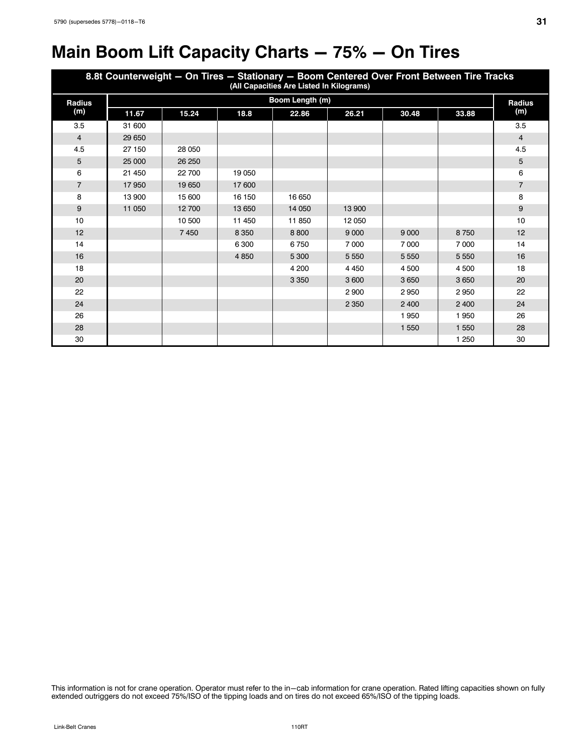# <span id="page-34-0"></span>**Main Boom Lift Capacity Charts - 75% - On Tires**

| 8.8t Counterweight - On Tires - Stationary - Boom Centered Over Front Between Tire Tracks<br>(All Capacities Are Listed In Kilograms) |                 |        |         |         |         |         |         |                |  |  |  |  |
|---------------------------------------------------------------------------------------------------------------------------------------|-----------------|--------|---------|---------|---------|---------|---------|----------------|--|--|--|--|
| <b>Radius</b>                                                                                                                         | Boom Length (m) |        |         |         |         |         |         |                |  |  |  |  |
| (m)                                                                                                                                   | 11.67           | 15.24  | 18.8    | 22.86   | 26.21   | 30.48   | 33.88   | (m)            |  |  |  |  |
| 3.5                                                                                                                                   | 31 600          |        |         |         |         |         |         | 3.5            |  |  |  |  |
| $\overline{4}$                                                                                                                        | 29 650          |        |         |         |         |         |         | $\overline{4}$ |  |  |  |  |
| 4.5                                                                                                                                   | 27 150          | 28 050 |         |         |         |         |         | 4.5            |  |  |  |  |
| 5                                                                                                                                     | 25 000          | 26 250 |         |         |         |         |         | 5              |  |  |  |  |
| 6                                                                                                                                     | 21 450          | 22 700 | 19 0 50 |         |         |         |         | 6              |  |  |  |  |
| $\overline{7}$                                                                                                                        | 17950           | 19650  | 17600   |         |         |         |         | $\overline{7}$ |  |  |  |  |
| 8                                                                                                                                     | 13 900          | 15 600 | 16 150  | 16 650  |         |         |         | 8              |  |  |  |  |
| 9                                                                                                                                     | 11 050          | 12700  | 13 650  | 14 050  | 13 900  |         |         | 9              |  |  |  |  |
| 10                                                                                                                                    |                 | 10 500 | 11 450  | 11850   | 12050   |         |         | 10             |  |  |  |  |
| 12                                                                                                                                    |                 | 7450   | 8 3 5 0 | 8800    | 9 0 0 0 | 9 0 0 0 | 8750    | 12             |  |  |  |  |
| 14                                                                                                                                    |                 |        | 6 3 0 0 | 6750    | 7000    | 7 0 0 0 | 7000    | 14             |  |  |  |  |
| 16                                                                                                                                    |                 |        | 4 8 5 0 | 5 300   | 5 5 5 0 | 5 5 5 0 | 5 5 5 0 | 16             |  |  |  |  |
| 18                                                                                                                                    |                 |        |         | 4 200   | 4 4 5 0 | 4 500   | 4 500   | 18             |  |  |  |  |
| 20                                                                                                                                    |                 |        |         | 3 3 5 0 | 3600    | 3650    | 3650    | 20             |  |  |  |  |
| 22                                                                                                                                    |                 |        |         |         | 2900    | 2950    | 2950    | 22             |  |  |  |  |
| 24                                                                                                                                    |                 |        |         |         | 2 3 5 0 | 2 4 0 0 | 2 4 0 0 | 24             |  |  |  |  |
| 26                                                                                                                                    |                 |        |         |         |         | 1950    | 1950    | 26             |  |  |  |  |
| 28                                                                                                                                    |                 |        |         |         |         | 1 5 5 0 | 1 5 5 0 | 28             |  |  |  |  |
| 30                                                                                                                                    |                 |        |         |         |         |         | 1 250   | 30             |  |  |  |  |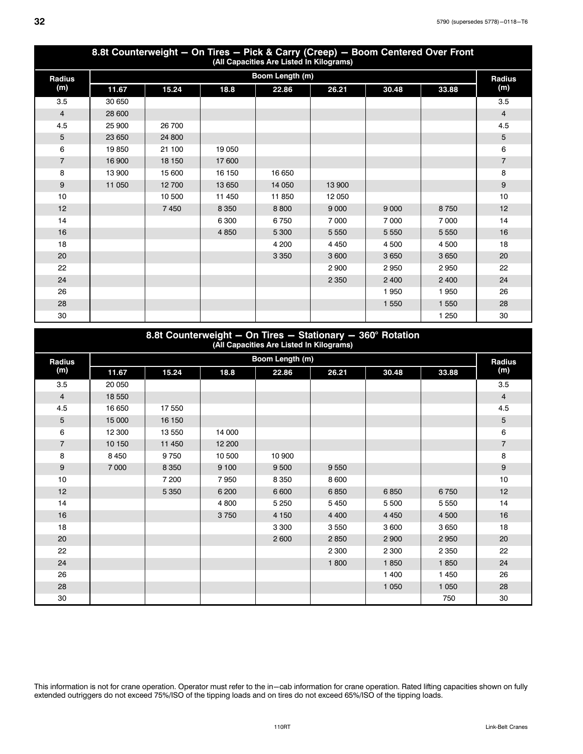<span id="page-35-0"></span>

| 8.8t Counterweight - On Tires - Pick & Carry (Creep) - Boom Centered Over Front<br>(All Capacities Are Listed In Kilograms) |                 |        |         |         |         |         |         |                |  |  |  |  |
|-----------------------------------------------------------------------------------------------------------------------------|-----------------|--------|---------|---------|---------|---------|---------|----------------|--|--|--|--|
| <b>Radius</b>                                                                                                               | Boom Length (m) |        |         |         |         |         |         |                |  |  |  |  |
| (m)                                                                                                                         | 11.67           | 15.24  | 18.8    | 22.86   | 26.21   | 30.48   | 33.88   | (m)            |  |  |  |  |
| 3.5                                                                                                                         | 30 650          |        |         |         |         |         |         | 3.5            |  |  |  |  |
| $\overline{4}$                                                                                                              | 28 600          |        |         |         |         |         |         | $\overline{4}$ |  |  |  |  |
| 4.5                                                                                                                         | 25 900          | 26 700 |         |         |         |         |         | 4.5            |  |  |  |  |
| 5                                                                                                                           | 23 650          | 24 800 |         |         |         |         |         | 5              |  |  |  |  |
| 6                                                                                                                           | 19850           | 21 100 | 19 0 50 |         |         |         |         | 6              |  |  |  |  |
| $\overline{7}$                                                                                                              | 16 900          | 18 150 | 17600   |         |         |         |         | $\overline{7}$ |  |  |  |  |
| 8                                                                                                                           | 13 900          | 15 600 | 16 150  | 16 650  |         |         |         | 8              |  |  |  |  |
| 9                                                                                                                           | 11 050          | 12700  | 13 650  | 14 050  | 13 900  |         |         | 9              |  |  |  |  |
| 10                                                                                                                          |                 | 10 500 | 11 450  | 11 850  | 12050   |         |         | 10             |  |  |  |  |
| 12                                                                                                                          |                 | 7450   | 8 3 5 0 | 8800    | 9 0 0 0 | 9 0 0 0 | 8750    | 12             |  |  |  |  |
| 14                                                                                                                          |                 |        | 6 300   | 6750    | 7000    | 7 0 0 0 | 7 0 0 0 | 14             |  |  |  |  |
| 16                                                                                                                          |                 |        | 4 8 5 0 | 5 3 0 0 | 5 5 5 0 | 5 5 5 0 | 5 5 5 0 | 16             |  |  |  |  |
| 18                                                                                                                          |                 |        |         | 4 200   | 4 4 5 0 | 4 500   | 4500    | 18             |  |  |  |  |
| 20                                                                                                                          |                 |        |         | 3 3 5 0 | 3600    | 3650    | 3650    | 20             |  |  |  |  |
| 22                                                                                                                          |                 |        |         |         | 2900    | 2950    | 2950    | 22             |  |  |  |  |
| 24                                                                                                                          |                 |        |         |         | 2 3 5 0 | 2 4 0 0 | 2 4 0 0 | 24             |  |  |  |  |
| 26                                                                                                                          |                 |        |         |         |         | 1950    | 1950    | 26             |  |  |  |  |
| 28                                                                                                                          |                 |        |         |         |         | 1 5 5 0 | 1 5 5 0 | 28             |  |  |  |  |
| 30                                                                                                                          |                 |        |         |         |         |         | 1 2 5 0 | 30             |  |  |  |  |

| 8.8t Counterweight - On Tires - Stationary - 360° Rotation<br>(All Capacities Are Listed In Kilograms) |         |                 |        |         |         |         |         |                |  |  |  |  |
|--------------------------------------------------------------------------------------------------------|---------|-----------------|--------|---------|---------|---------|---------|----------------|--|--|--|--|
| <b>Radius</b>                                                                                          |         | Boom Length (m) |        |         |         |         |         |                |  |  |  |  |
| (m)                                                                                                    | 11.67   | 15.24           | 18.8   | 22.86   | 26.21   | 30.48   | 33.88   | (m)            |  |  |  |  |
| 3.5                                                                                                    | 20 050  |                 |        |         |         |         |         | 3.5            |  |  |  |  |
| $\overline{4}$                                                                                         | 18 550  |                 |        |         |         |         |         | $\overline{4}$ |  |  |  |  |
| 4.5                                                                                                    | 16 650  | 17550           |        |         |         |         |         | 4.5            |  |  |  |  |
| 5                                                                                                      | 15 000  | 16 150          |        |         |         |         |         | 5              |  |  |  |  |
| 6                                                                                                      | 12 300  | 13 550          | 14 000 |         |         |         |         | 6              |  |  |  |  |
| $\overline{7}$                                                                                         | 10 150  | 11 450          | 12 200 |         |         |         |         | $\overline{7}$ |  |  |  |  |
| 8                                                                                                      | 8450    | 9750            | 10 500 | 10 900  |         |         |         | 8              |  |  |  |  |
| 9                                                                                                      | 7 0 0 0 | 8 3 5 0         | 9 100  | 9 5 0 0 | 9550    |         |         | 9              |  |  |  |  |
| 10                                                                                                     |         | 7 200           | 7950   | 8 3 5 0 | 8600    |         |         | 10             |  |  |  |  |
| 12                                                                                                     |         | 5 3 5 0         | 6 200  | 6600    | 6850    | 6850    | 6750    | 12             |  |  |  |  |
| 14                                                                                                     |         |                 | 4 800  | 5 2 5 0 | 5450    | 5 500   | 5 5 5 0 | 14             |  |  |  |  |
| 16                                                                                                     |         |                 | 3750   | 4 1 5 0 | 4 4 0 0 | 4 4 5 0 | 4 500   | 16             |  |  |  |  |
| 18                                                                                                     |         |                 |        | 3 3 0 0 | 3550    | 3600    | 3650    | 18             |  |  |  |  |
| 20                                                                                                     |         |                 |        | 2600    | 2850    | 2 9 0 0 | 2950    | 20             |  |  |  |  |
| 22                                                                                                     |         |                 |        |         | 2 3 0 0 | 2 3 0 0 | 2 3 5 0 | 22             |  |  |  |  |
| 24                                                                                                     |         |                 |        |         | 1800    | 1850    | 1850    | 24             |  |  |  |  |
| 26                                                                                                     |         |                 |        |         |         | 1 400   | 1 4 5 0 | 26             |  |  |  |  |
| 28                                                                                                     |         |                 |        |         |         | 1 0 5 0 | 1 0 5 0 | 28             |  |  |  |  |
| 30                                                                                                     |         |                 |        |         |         |         | 750     | 30             |  |  |  |  |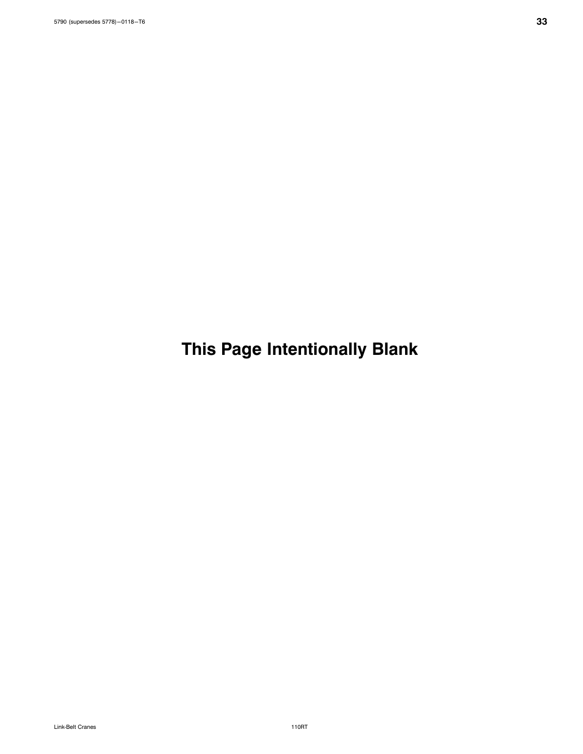**This Page Intentionally Blank**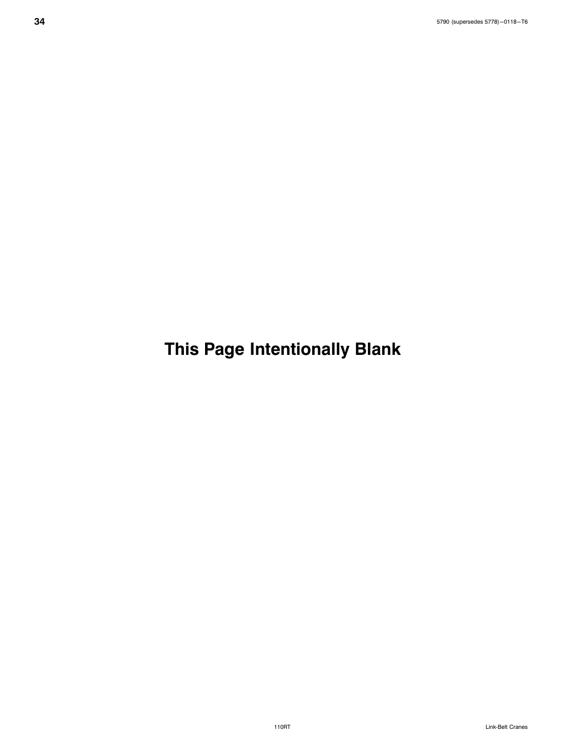**This Page Intentionally Blank**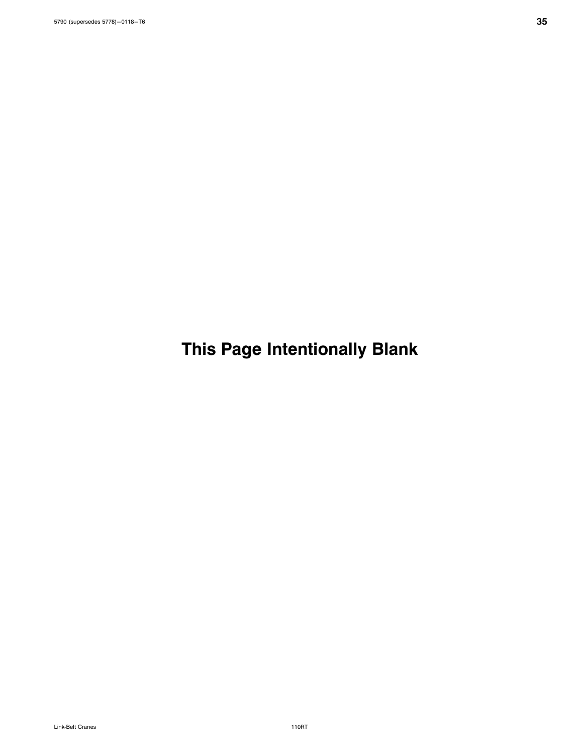**This Page Intentionally Blank**